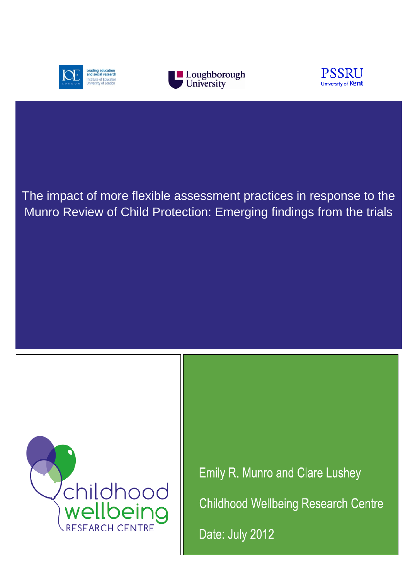





# The impact of more flexible assessment practices in response to the Munro Review of Child Protection: Emerging findings from the trials



**Emily R. Munro and Clare Lushey Childhood Wellbeing Research Centre** Date: July 2012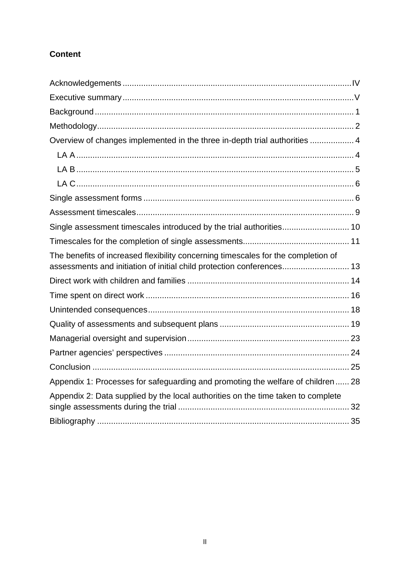# **Content**

| Overview of changes implemented in the three in-depth trial authorities  4                                                                                 |  |
|------------------------------------------------------------------------------------------------------------------------------------------------------------|--|
|                                                                                                                                                            |  |
|                                                                                                                                                            |  |
|                                                                                                                                                            |  |
|                                                                                                                                                            |  |
|                                                                                                                                                            |  |
| Single assessment timescales introduced by the trial authorities 10                                                                                        |  |
|                                                                                                                                                            |  |
| The benefits of increased flexibility concerning timescales for the completion of<br>assessments and initiation of initial child protection conferences 13 |  |
|                                                                                                                                                            |  |
|                                                                                                                                                            |  |
|                                                                                                                                                            |  |
|                                                                                                                                                            |  |
|                                                                                                                                                            |  |
|                                                                                                                                                            |  |
|                                                                                                                                                            |  |
| Appendix 1: Processes for safeguarding and promoting the welfare of children 28                                                                            |  |
| Appendix 2: Data supplied by the local authorities on the time taken to complete                                                                           |  |
|                                                                                                                                                            |  |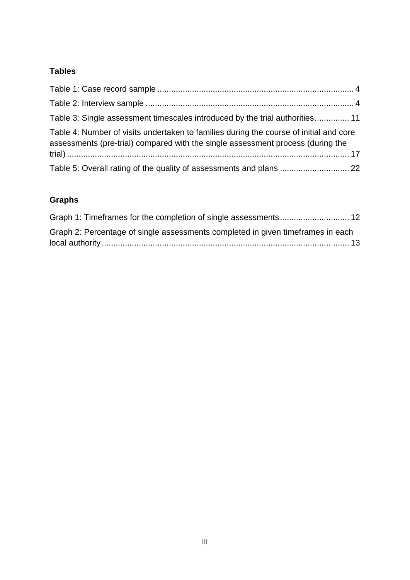# **Tables**

| Table 3: Single assessment timescales introduced by the trial authorities 11                                                                                              |  |
|---------------------------------------------------------------------------------------------------------------------------------------------------------------------------|--|
| Table 4: Number of visits undertaken to families during the course of initial and core<br>assessments (pre-trial) compared with the single assessment process (during the |  |
| Table 5: Overall rating of the quality of assessments and plans  22                                                                                                       |  |

# **Graphs**

| Graph 2: Percentage of single assessments completed in given timeframes in each |  |
|---------------------------------------------------------------------------------|--|
|                                                                                 |  |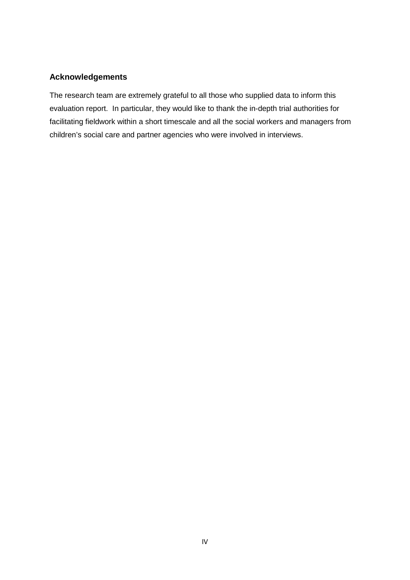# <span id="page-3-0"></span>**Acknowledgements**

The research team are extremely grateful to all those who supplied data to inform this evaluation report. In particular, they would like to thank the in-depth trial authorities for facilitating fieldwork within a short timescale and all the social workers and managers from children's social care and partner agencies who were involved in interviews.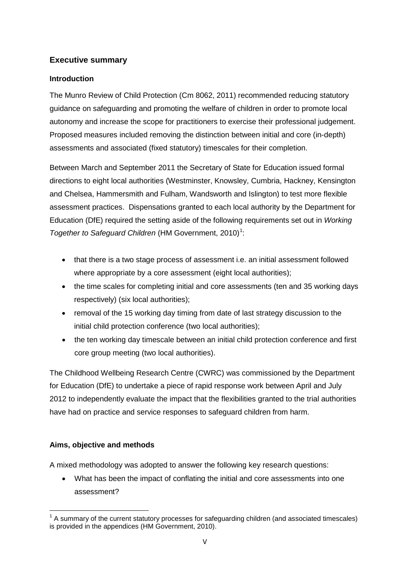### <span id="page-4-0"></span>**Executive summary**

### **Introduction**

The Munro Review of Child Protection (Cm 8062, 2011) recommended reducing statutory guidance on safeguarding and promoting the welfare of children in order to promote local autonomy and increase the scope for practitioners to exercise their professional judgement. Proposed measures included removing the distinction between initial and core (in-depth) assessments and associated (fixed statutory) timescales for their completion.

Between March and September 2011 the Secretary of State for Education issued formal directions to eight local authorities (Westminster, Knowsley, Cumbria, Hackney, Kensington and Chelsea, Hammersmith and Fulham, Wandsworth and Islington) to test more flexible assessment practices. Dispensations granted to each local authority by the Department for Education (DfE) required the setting aside of the following requirements set out in *Working Together to Safeguard Children* (HM Government, 20[1](#page-4-1)0)<sup>1</sup>:

- that there is a two stage process of assessment i.e. an initial assessment followed where appropriate by a core assessment (eight local authorities);
- the time scales for completing initial and core assessments (ten and 35 working days respectively) (six local authorities);
- removal of the 15 working day timing from date of last strategy discussion to the initial child protection conference (two local authorities);
- the ten working day timescale between an initial child protection conference and first core group meeting (two local authorities).

The Childhood Wellbeing Research Centre (CWRC) was commissioned by the Department for Education (DfE) to undertake a piece of rapid response work between April and July 2012 to independently evaluate the impact that the flexibilities granted to the trial authorities have had on practice and service responses to safeguard children from harm.

# **Aims, objective and methods**

A mixed methodology was adopted to answer the following key research questions:

• What has been the impact of conflating the initial and core assessments into one assessment?

<span id="page-4-1"></span> $1$  A summary of the current statutory processes for safeguarding children (and associated timescales) is provided in the appendices (HM Government, 2010).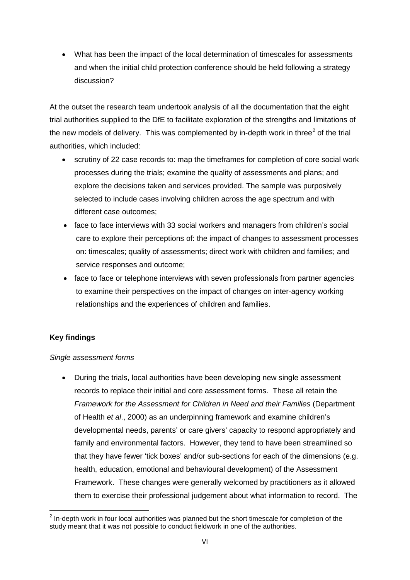• What has been the impact of the local determination of timescales for assessments and when the initial child protection conference should be held following a strategy discussion?

At the outset the research team undertook analysis of all the documentation that the eight trial authorities supplied to the DfE to facilitate exploration of the strengths and limitations of the new models of delivery. This was complemented by in-depth work in three<sup>[2](#page-5-0)</sup> of the trial authorities, which included:

- scrutiny of 22 case records to: map the timeframes for completion of core social work processes during the trials; examine the quality of assessments and plans; and explore the decisions taken and services provided. The sample was purposively selected to include cases involving children across the age spectrum and with different case outcomes;
- face to face interviews with 33 social workers and managers from children's social care to explore their perceptions of: the impact of changes to assessment processes on: timescales; quality of assessments; direct work with children and families; and service responses and outcome;
- face to face or telephone interviews with seven professionals from partner agencies to examine their perspectives on the impact of changes on inter-agency working relationships and the experiences of children and families.

### **Key findings**

### *Single assessment forms*

• During the trials, local authorities have been developing new single assessment records to replace their initial and core assessment forms. These all retain the *Framework for the Assessment for Children in Need and their Families* (Department of Health *et al*., 2000) as an underpinning framework and examine children's developmental needs, parents' or care givers' capacity to respond appropriately and family and environmental factors. However, they tend to have been streamlined so that they have fewer 'tick boxes' and/or sub-sections for each of the dimensions (e.g. health, education, emotional and behavioural development) of the Assessment Framework. These changes were generally welcomed by practitioners as it allowed them to exercise their professional judgement about what information to record. The

<span id="page-5-0"></span> $2$  In-depth work in four local authorities was planned but the short timescale for completion of the study meant that it was not possible to conduct fieldwork in one of the authorities.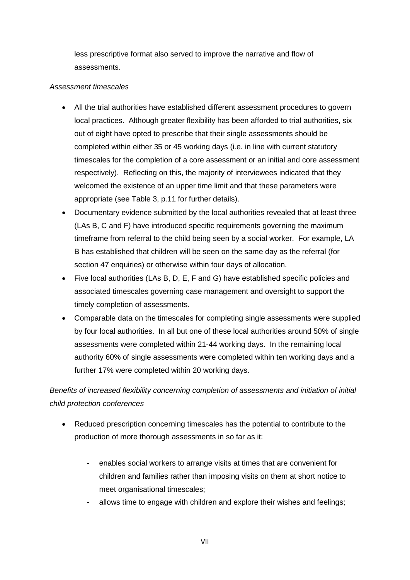less prescriptive format also served to improve the narrative and flow of assessments.

#### *Assessment timescales*

- All the trial authorities have established different assessment procedures to govern local practices. Although greater flexibility has been afforded to trial authorities, six out of eight have opted to prescribe that their single assessments should be completed within either 35 or 45 working days (i.e. in line with current statutory timescales for the completion of a core assessment or an initial and core assessment respectively). Reflecting on this, the majority of interviewees indicated that they welcomed the existence of an upper time limit and that these parameters were appropriate (see Table 3, p.11 for further details).
- Documentary evidence submitted by the local authorities revealed that at least three (LAs B, C and F) have introduced specific requirements governing the maximum timeframe from referral to the child being seen by a social worker. For example, LA B has established that children will be seen on the same day as the referral (for section 47 enquiries) or otherwise within four days of allocation.
- Five local authorities (LAs B, D, E, F and G) have established specific policies and associated timescales governing case management and oversight to support the timely completion of assessments.
- Comparable data on the timescales for completing single assessments were supplied by four local authorities. In all but one of these local authorities around 50% of single assessments were completed within 21-44 working days. In the remaining local authority 60% of single assessments were completed within ten working days and a further 17% were completed within 20 working days.

*Benefits of increased flexibility concerning completion of assessments and initiation of initial child protection conferences*

- Reduced prescription concerning timescales has the potential to contribute to the production of more thorough assessments in so far as it:
	- enables social workers to arrange visits at times that are convenient for children and families rather than imposing visits on them at short notice to meet organisational timescales;
	- allows time to engage with children and explore their wishes and feelings;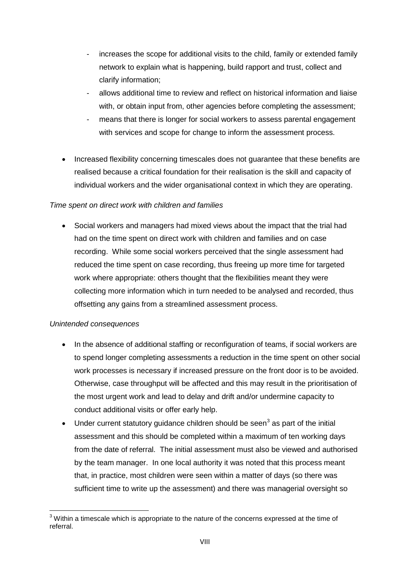- increases the scope for additional visits to the child, family or extended family network to explain what is happening, build rapport and trust, collect and clarify information;
- allows additional time to review and reflect on historical information and liaise with, or obtain input from, other agencies before completing the assessment;
- means that there is longer for social workers to assess parental engagement with services and scope for change to inform the assessment process.
- Increased flexibility concerning timescales does not guarantee that these benefits are realised because a critical foundation for their realisation is the skill and capacity of individual workers and the wider organisational context in which they are operating.

### *Time spent on direct work with children and families*

• Social workers and managers had mixed views about the impact that the trial had had on the time spent on direct work with children and families and on case recording. While some social workers perceived that the single assessment had reduced the time spent on case recording, thus freeing up more time for targeted work where appropriate: others thought that the flexibilities meant they were collecting more information which in turn needed to be analysed and recorded, thus offsetting any gains from a streamlined assessment process.

### *Unintended consequences*

- In the absence of additional staffing or reconfiguration of teams, if social workers are to spend longer completing assessments a reduction in the time spent on other social work processes is necessary if increased pressure on the front door is to be avoided. Otherwise, case throughput will be affected and this may result in the prioritisation of the most urgent work and lead to delay and drift and/or undermine capacity to conduct additional visits or offer early help.
- Under current statutory guidance children should be seen<sup>[3](#page-7-0)</sup> as part of the initial assessment and this should be completed within a maximum of ten working days from the date of referral. The initial assessment must also be viewed and authorised by the team manager. In one local authority it was noted that this process meant that, in practice, most children were seen within a matter of days (so there was sufficient time to write up the assessment) and there was managerial oversight so

<span id="page-7-0"></span> $3$  Within a timescale which is appropriate to the nature of the concerns expressed at the time of referral.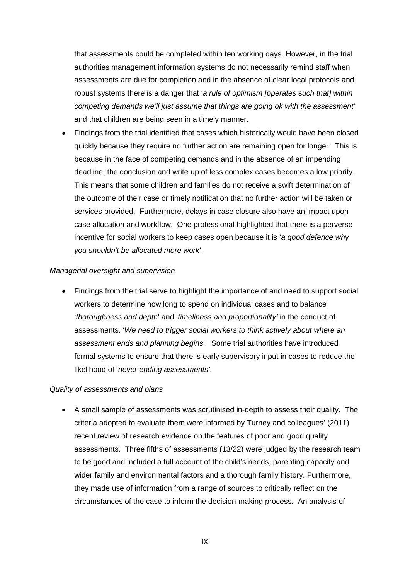that assessments could be completed within ten working days. However, in the trial authorities management information systems do not necessarily remind staff when assessments are due for completion and in the absence of clear local protocols and robust systems there is a danger that '*a rule of optimism [operates such that] within competing demands we'll just assume that things are going ok with the assessment*' and that children are being seen in a timely manner.

• Findings from the trial identified that cases which historically would have been closed quickly because they require no further action are remaining open for longer. This is because in the face of competing demands and in the absence of an impending deadline, the conclusion and write up of less complex cases becomes a low priority. This means that some children and families do not receive a swift determination of the outcome of their case or timely notification that no further action will be taken or services provided. Furthermore, delays in case closure also have an impact upon case allocation and workflow. One professional highlighted that there is a perverse incentive for social workers to keep cases open because it is '*a good defence why you shouldn't be allocated more work*'.

#### *Managerial oversight and supervision*

• Findings from the trial serve to highlight the importance of and need to support social workers to determine how long to spend on individual cases and to balance '*thoroughness and depth*' and '*timeliness and proportionality'* in the conduct of assessments. '*We need to trigger social workers to think actively about where an assessment ends and planning begins*'. Some trial authorities have introduced formal systems to ensure that there is early supervisory input in cases to reduce the likelihood of '*never ending assessments'*.

#### *Quality of assessments and plans*

• A small sample of assessments was scrutinised in-depth to assess their quality. The criteria adopted to evaluate them were informed by Turney and colleagues' (2011) recent review of research evidence on the features of poor and good quality assessments. Three fifths of assessments (13/22) were judged by the research team to be good and included a full account of the child's needs, parenting capacity and wider family and environmental factors and a thorough family history. Furthermore, they made use of information from a range of sources to critically reflect on the circumstances of the case to inform the decision-making process. An analysis of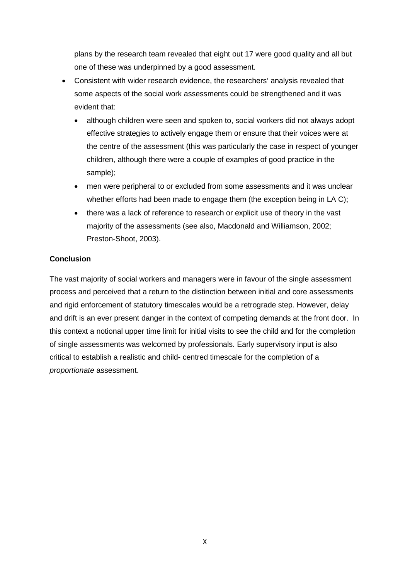plans by the research team revealed that eight out 17 were good quality and all but one of these was underpinned by a good assessment.

- Consistent with wider research evidence, the researchers' analysis revealed that some aspects of the social work assessments could be strengthened and it was evident that:
	- although children were seen and spoken to, social workers did not always adopt effective strategies to actively engage them or ensure that their voices were at the centre of the assessment (this was particularly the case in respect of younger children, although there were a couple of examples of good practice in the sample);
	- men were peripheral to or excluded from some assessments and it was unclear whether efforts had been made to engage them (the exception being in LA C);
	- there was a lack of reference to research or explicit use of theory in the vast majority of the assessments (see also, Macdonald and Williamson, 2002; Preston-Shoot, 2003).

### **Conclusion**

The vast majority of social workers and managers were in favour of the single assessment process and perceived that a return to the distinction between initial and core assessments and rigid enforcement of statutory timescales would be a retrograde step. However, delay and drift is an ever present danger in the context of competing demands at the front door. In this context a notional upper time limit for initial visits to see the child and for the completion of single assessments was welcomed by professionals. Early supervisory input is also critical to establish a realistic and child- centred timescale for the completion of a *proportionate* assessment.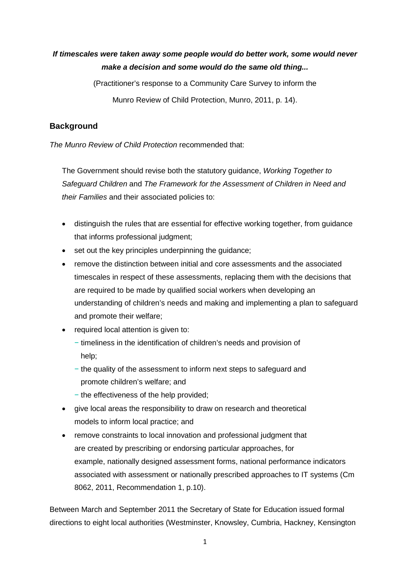# *If timescales were taken away some people would do better work, some would never make a decision and some would do the same old thing...*

(Practitioner's response to a Community Care Survey to inform the

Munro Review of Child Protection, Munro, 2011, p. 14).

### <span id="page-10-0"></span>**Background**

*The Munro Review of Child Protection* recommended that:

The Government should revise both the statutory guidance, *Working Together to Safeguard Children* and *The Framework for the Assessment of Children in Need and their Families* and their associated policies to:

- distinguish the rules that are essential for effective working together, from guidance that informs professional judgment;
- set out the key principles underpinning the quidance;
- remove the distinction between initial and core assessments and the associated timescales in respect of these assessments, replacing them with the decisions that are required to be made by qualified social workers when developing an understanding of children's needs and making and implementing a plan to safeguard and promote their welfare;
- required local attention is given to:
	- − timeliness in the identification of children's needs and provision of help;
	- − the quality of the assessment to inform next steps to safeguard and promote children's welfare; and
	- − the effectiveness of the help provided;
- give local areas the responsibility to draw on research and theoretical models to inform local practice; and
- remove constraints to local innovation and professional judgment that are created by prescribing or endorsing particular approaches, for example, nationally designed assessment forms, national performance indicators associated with assessment or nationally prescribed approaches to IT systems (Cm 8062, 2011, Recommendation 1, p.10).

Between March and September 2011 the Secretary of State for Education issued formal directions to eight local authorities (Westminster, Knowsley, Cumbria, Hackney, Kensington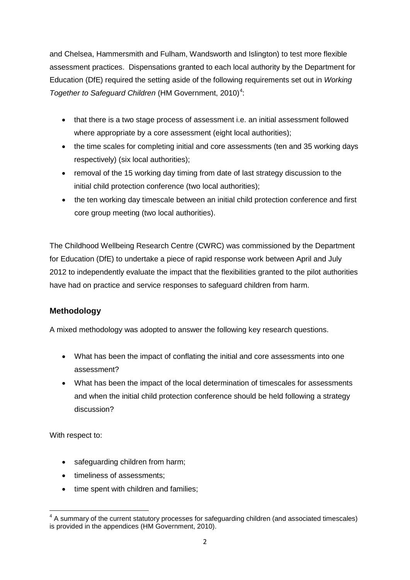and Chelsea, Hammersmith and Fulham, Wandsworth and Islington) to test more flexible assessment practices. Dispensations granted to each local authority by the Department for Education (DfE) required the setting aside of the following requirements set out in *Working Together to Safeguard Children* (HM Government, 2010)<sup>[4](#page-11-1)</sup>:

- that there is a two stage process of assessment i.e. an initial assessment followed where appropriate by a core assessment (eight local authorities);
- the time scales for completing initial and core assessments (ten and 35 working days respectively) (six local authorities);
- removal of the 15 working day timing from date of last strategy discussion to the initial child protection conference (two local authorities);
- the ten working day timescale between an initial child protection conference and first core group meeting (two local authorities).

The Childhood Wellbeing Research Centre (CWRC) was commissioned by the Department for Education (DfE) to undertake a piece of rapid response work between April and July 2012 to independently evaluate the impact that the flexibilities granted to the pilot authorities have had on practice and service responses to safeguard children from harm.

# <span id="page-11-0"></span>**Methodology**

A mixed methodology was adopted to answer the following key research questions.

- What has been the impact of conflating the initial and core assessments into one assessment?
- What has been the impact of the local determination of timescales for assessments and when the initial child protection conference should be held following a strategy discussion?

With respect to:

- safeguarding children from harm;
- timeliness of assessments:
- time spent with children and families;

<span id="page-11-1"></span><sup>&</sup>lt;sup>4</sup> A summary of the current statutory processes for safeguarding children (and associated timescales) is provided in the appendices (HM Government, 2010).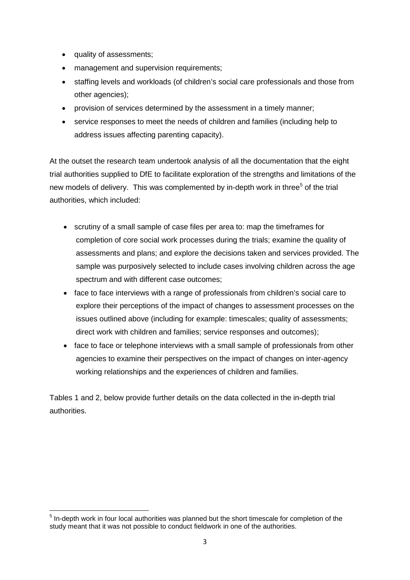- quality of assessments;
- management and supervision requirements;
- staffing levels and workloads (of children's social care professionals and those from other agencies);
- provision of services determined by the assessment in a timely manner;
- service responses to meet the needs of children and families (including help to address issues affecting parenting capacity).

At the outset the research team undertook analysis of all the documentation that the eight trial authorities supplied to DfE to facilitate exploration of the strengths and limitations of the new models of delivery. This was complemented by in-depth work in three<sup>[5](#page-12-0)</sup> of the trial authorities, which included:

- scrutiny of a small sample of case files per area to: map the timeframes for completion of core social work processes during the trials; examine the quality of assessments and plans; and explore the decisions taken and services provided. The sample was purposively selected to include cases involving children across the age spectrum and with different case outcomes;
- face to face interviews with a range of professionals from children's social care to explore their perceptions of the impact of changes to assessment processes on the issues outlined above (including for example: timescales; quality of assessments; direct work with children and families; service responses and outcomes);
- face to face or telephone interviews with a small sample of professionals from other agencies to examine their perspectives on the impact of changes on inter-agency working relationships and the experiences of children and families.

Tables 1 and 2, below provide further details on the data collected in the in-depth trial authorities.

<span id="page-12-0"></span><sup>&</sup>lt;sup>5</sup> In-depth work in four local authorities was planned but the short timescale for completion of the study meant that it was not possible to conduct fieldwork in one of the authorities.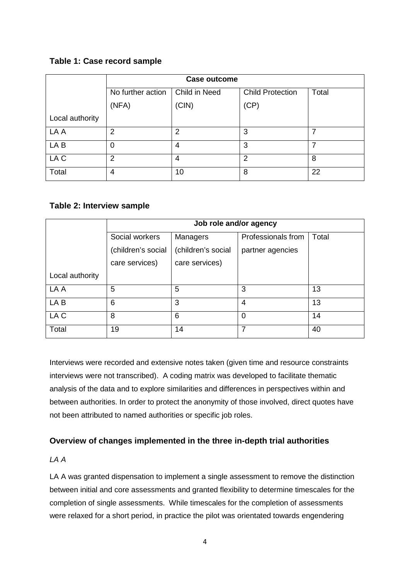# <span id="page-13-2"></span>**Table 1: Case record sample**

|                 |                   | <b>Case outcome</b> |                         |       |  |  |  |  |  |  |
|-----------------|-------------------|---------------------|-------------------------|-------|--|--|--|--|--|--|
|                 | No further action | Child in Need       | <b>Child Protection</b> | Total |  |  |  |  |  |  |
|                 | (NFA)             | (CIN)               | (CP)                    |       |  |  |  |  |  |  |
| Local authority |                   |                     |                         |       |  |  |  |  |  |  |
| LA A            | 2                 | 2                   | 3                       |       |  |  |  |  |  |  |
| LA B            | 0                 | 4                   | 3                       |       |  |  |  |  |  |  |
| LA C            | 2                 | 4                   | $\overline{2}$          | 8     |  |  |  |  |  |  |
| Total           | 4                 | 10                  | 8                       | 22    |  |  |  |  |  |  |

### <span id="page-13-3"></span>**Table 2: Interview sample**

|                 | Job role and/or agency |                    |                    |       |  |  |  |  |  |
|-----------------|------------------------|--------------------|--------------------|-------|--|--|--|--|--|
|                 | Social workers         | Managers           | Professionals from | Total |  |  |  |  |  |
|                 | (children's social     | (children's social | partner agencies   |       |  |  |  |  |  |
|                 | care services)         | care services)     |                    |       |  |  |  |  |  |
| Local authority |                        |                    |                    |       |  |  |  |  |  |
| LA A            | 5                      | 5                  | 3                  | 13    |  |  |  |  |  |
| LA B            | 6                      | 3                  | 4                  | 13    |  |  |  |  |  |
| LA C            | 8                      | 6                  | 0                  | 14    |  |  |  |  |  |
| Total           | 19                     | 14                 | 7                  | 40    |  |  |  |  |  |

Interviews were recorded and extensive notes taken (given time and resource constraints interviews were not transcribed). A coding matrix was developed to facilitate thematic analysis of the data and to explore similarities and differences in perspectives within and between authorities. In order to protect the anonymity of those involved, direct quotes have not been attributed to named authorities or specific job roles.

# <span id="page-13-0"></span>**Overview of changes implemented in the three in-depth trial authorities**

<span id="page-13-1"></span>*LA A*

LA A was granted dispensation to implement a single assessment to remove the distinction between initial and core assessments and granted flexibility to determine timescales for the completion of single assessments. While timescales for the completion of assessments were relaxed for a short period, in practice the pilot was orientated towards engendering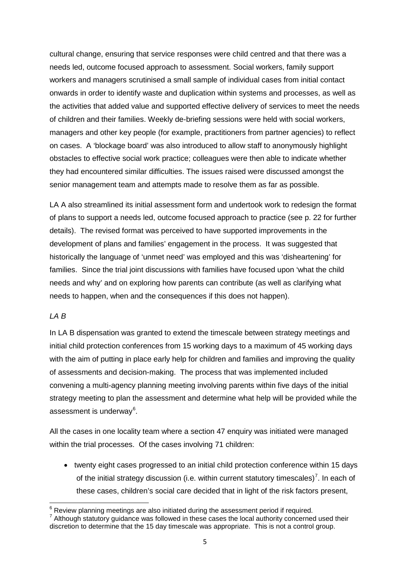cultural change, ensuring that service responses were child centred and that there was a needs led, outcome focused approach to assessment. Social workers, family support workers and managers scrutinised a small sample of individual cases from initial contact onwards in order to identify waste and duplication within systems and processes, as well as the activities that added value and supported effective delivery of services to meet the needs of children and their families. Weekly de-briefing sessions were held with social workers, managers and other key people (for example, practitioners from partner agencies) to reflect on cases. A 'blockage board' was also introduced to allow staff to anonymously highlight obstacles to effective social work practice; colleagues were then able to indicate whether they had encountered similar difficulties. The issues raised were discussed amongst the senior management team and attempts made to resolve them as far as possible.

LA A also streamlined its initial assessment form and undertook work to redesign the format of plans to support a needs led, outcome focused approach to practice (see p. 22 for further details). The revised format was perceived to have supported improvements in the development of plans and families' engagement in the process. It was suggested that historically the language of 'unmet need' was employed and this was 'disheartening' for families. Since the trial joint discussions with families have focused upon 'what the child needs and why' and on exploring how parents can contribute (as well as clarifying what needs to happen, when and the consequences if this does not happen).

#### <span id="page-14-0"></span>*LA B*

In LA B dispensation was granted to extend the timescale between strategy meetings and initial child protection conferences from 15 working days to a maximum of 45 working days with the aim of putting in place early help for children and families and improving the quality of assessments and decision-making. The process that was implemented included convening a multi-agency planning meeting involving parents within five days of the initial strategy meeting to plan the assessment and determine what help will be provided while the assessment is underway<sup>[6](#page-14-1)</sup>.

All the cases in one locality team where a section 47 enquiry was initiated were managed within the trial processes. Of the cases involving 71 children:

• twenty eight cases progressed to an initial child protection conference within 15 days of the initial strategy discussion (i.e. within current statutory timescales)<sup>[7](#page-14-2)</sup>. In each of these cases, children's social care decided that in light of the risk factors present,

<span id="page-14-1"></span> $6$  Review planning meetings are also initiated during the assessment period if required.

<span id="page-14-2"></span><sup>&</sup>lt;sup>7</sup> Although statutory guidance was followed in these cases the local authority concerned used their discretion to determine that the 15 day timescale was appropriate. This is not a control group.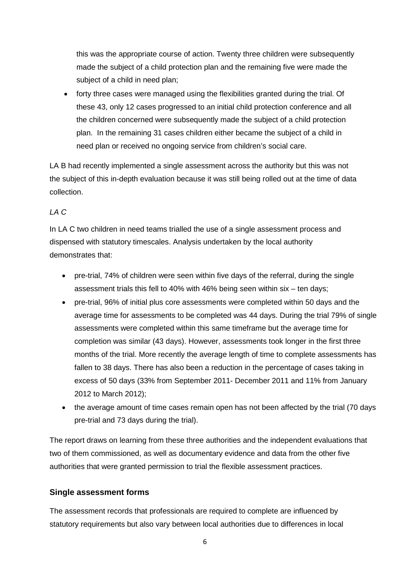this was the appropriate course of action. Twenty three children were subsequently made the subject of a child protection plan and the remaining five were made the subject of a child in need plan;

• forty three cases were managed using the flexibilities granted during the trial. Of these 43, only 12 cases progressed to an initial child protection conference and all the children concerned were subsequently made the subject of a child protection plan. In the remaining 31 cases children either became the subject of a child in need plan or received no ongoing service from children's social care.

LA B had recently implemented a single assessment across the authority but this was not the subject of this in-depth evaluation because it was still being rolled out at the time of data collection.

# <span id="page-15-0"></span>*LA C*

In LA C two children in need teams trialled the use of a single assessment process and dispensed with statutory timescales. Analysis undertaken by the local authority demonstrates that:

- pre-trial, 74% of children were seen within five days of the referral, during the single assessment trials this fell to 40% with 46% being seen within six – ten days;
- pre-trial, 96% of initial plus core assessments were completed within 50 days and the average time for assessments to be completed was 44 days. During the trial 79% of single assessments were completed within this same timeframe but the average time for completion was similar (43 days). However, assessments took longer in the first three months of the trial. More recently the average length of time to complete assessments has fallen to 38 days. There has also been a reduction in the percentage of cases taking in excess of 50 days (33% from September 2011- December 2011 and 11% from January 2012 to March 2012);
- the average amount of time cases remain open has not been affected by the trial (70 days pre-trial and 73 days during the trial).

The report draws on learning from these three authorities and the independent evaluations that two of them commissioned, as well as documentary evidence and data from the other five authorities that were granted permission to trial the flexible assessment practices.

# <span id="page-15-1"></span>**Single assessment forms**

The assessment records that professionals are required to complete are influenced by statutory requirements but also vary between local authorities due to differences in local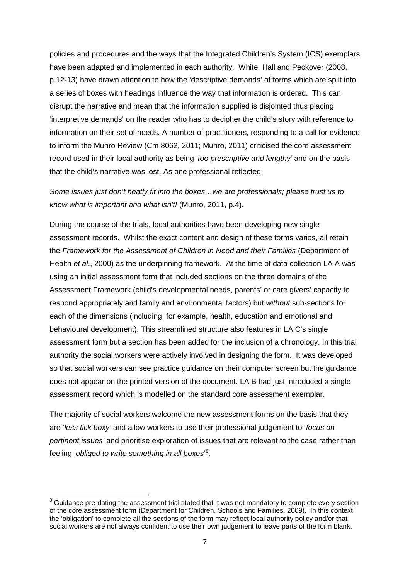policies and procedures and the ways that the Integrated Children's System (ICS) exemplars have been adapted and implemented in each authority. White, Hall and Peckover (2008, p.12-13) have drawn attention to how the 'descriptive demands' of forms which are split into a series of boxes with headings influence the way that information is ordered. This can disrupt the narrative and mean that the information supplied is disjointed thus placing 'interpretive demands' on the reader who has to decipher the child's story with reference to information on their set of needs. A number of practitioners, responding to a call for evidence to inform the Munro Review (Cm 8062, 2011; Munro, 2011) criticised the core assessment record used in their local authority as being '*too prescriptive and lengthy'* and on the basis that the child's narrative was lost. As one professional reflected:

*Some issues just don't neatly fit into the boxes…we are professionals; please trust us to know what is important and what isn't!* (Munro, 2011, p.4).

During the course of the trials, local authorities have been developing new single assessment records. Whilst the exact content and design of these forms varies, all retain the *Framework for the Assessment of Children in Need and their Families* (Department of Health *et al*., 2000) as the underpinning framework. At the time of data collection LA A was using an initial assessment form that included sections on the three domains of the Assessment Framework (child's developmental needs, parents' or care givers' capacity to respond appropriately and family and environmental factors) but *without* sub-sections for each of the dimensions (including, for example, health, education and emotional and behavioural development). This streamlined structure also features in LA C's single assessment form but a section has been added for the inclusion of a chronology. In this trial authority the social workers were actively involved in designing the form. It was developed so that social workers can see practice guidance on their computer screen but the guidance does not appear on the printed version of the document. LA B had just introduced a single assessment record which is modelled on the standard core assessment exemplar.

The majority of social workers welcome the new assessment forms on the basis that they are '*less tick boxy'* and allow workers to use their professional judgement to '*focus on pertinent issues'* and prioritise exploration of issues that are relevant to the case rather than feeling '*obliged to write something in all boxes*' [8](#page-16-0) .

<span id="page-16-0"></span><sup>&</sup>lt;sup>8</sup> Guidance pre-dating the assessment trial stated that it was not mandatory to complete every section of the core assessment form (Department for Children, Schools and Families, 2009). In this context the 'obligation' to complete all the sections of the form may reflect local authority policy and/or that social workers are not always confident to use their own judgement to leave parts of the form blank.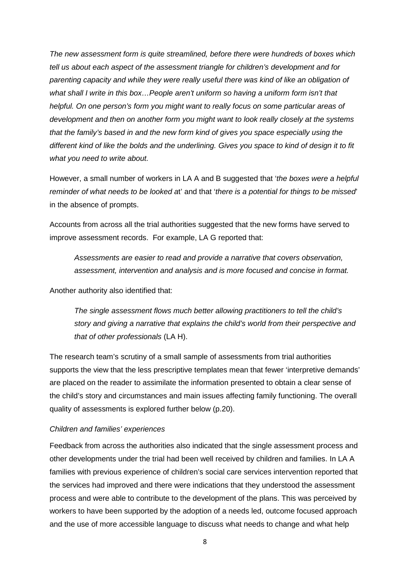*The new assessment form is quite streamlined, before there were hundreds of boxes which tell us about each aspect of the assessment triangle for children's development and for parenting capacity and while they were really useful there was kind of like an obligation of what shall I write in this box…People aren't uniform so having a uniform form isn't that helpful. On one person's form you might want to really focus on some particular areas of development and then on another form you might want to look really closely at the systems that the family's based in and the new form kind of gives you space especially using the different kind of like the bolds and the underlining. Gives you space to kind of design it to fit what you need to write about.* 

However, a small number of workers in LA A and B suggested that '*the boxes were a helpful reminder of what needs to be looked a*t' and that '*there is a potential for things to be missed*' in the absence of prompts.

Accounts from across all the trial authorities suggested that the new forms have served to improve assessment records. For example, LA G reported that:

*Assessments are easier to read and provide a narrative that covers observation, assessment, intervention and analysis and is more focused and concise in format.*

Another authority also identified that:

*The single assessment flows much better allowing practitioners to tell the child's story and giving a narrative that explains the child's world from their perspective and that of other professionals* (LA H).

The research team's scrutiny of a small sample of assessments from trial authorities supports the view that the less prescriptive templates mean that fewer 'interpretive demands' are placed on the reader to assimilate the information presented to obtain a clear sense of the child's story and circumstances and main issues affecting family functioning. The overall quality of assessments is explored further below (p.20).

#### *Children and families' experiences*

Feedback from across the authorities also indicated that the single assessment process and other developments under the trial had been well received by children and families. In LA A families with previous experience of children's social care services intervention reported that the services had improved and there were indications that they understood the assessment process and were able to contribute to the development of the plans. This was perceived by workers to have been supported by the adoption of a needs led, outcome focused approach and the use of more accessible language to discuss what needs to change and what help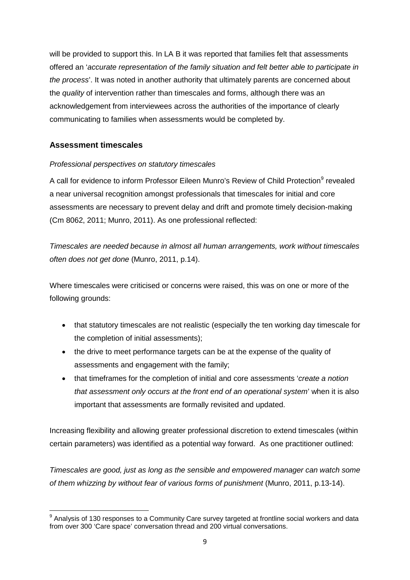will be provided to support this. In LA B it was reported that families felt that assessments offered an '*accurate representation of the family situation and felt better able to participate in the process*'. It was noted in another authority that ultimately parents are concerned about the *quality* of intervention rather than timescales and forms, although there was an acknowledgement from interviewees across the authorities of the importance of clearly communicating to families when assessments would be completed by.

# <span id="page-18-0"></span>**Assessment timescales**

### *Professional perspectives on statutory timescales*

A call for evidence to inform Professor Eileen Munro's Review of Child Protection<sup>[9](#page-18-1)</sup> revealed a near universal recognition amongst professionals that timescales for initial and core assessments are necessary to prevent delay and drift and promote timely decision-making (Cm 8062, 2011; Munro, 2011). As one professional reflected:

*Timescales are needed because in almost all human arrangements, work without timescales often does not get done* (Munro, 2011, p.14).

Where timescales were criticised or concerns were raised, this was on one or more of the following grounds:

- that statutory timescales are not realistic (especially the ten working day timescale for the completion of initial assessments);
- the drive to meet performance targets can be at the expense of the quality of assessments and engagement with the family;
- that timeframes for the completion of initial and core assessments '*create a notion that assessment only occurs at the front end of an operational system*' when it is also important that assessments are formally revisited and updated.

Increasing flexibility and allowing greater professional discretion to extend timescales (within certain parameters) was identified as a potential way forward. As one practitioner outlined:

*Timescales are good, just as long as the sensible and empowered manager can watch some of them whizzing by without fear of various forms of punishment* (Munro, 2011, p.13-14).

<span id="page-18-1"></span> $9$  Analysis of 130 responses to a Community Care survey targeted at frontline social workers and data from over 300 'Care space' conversation thread and 200 virtual conversations.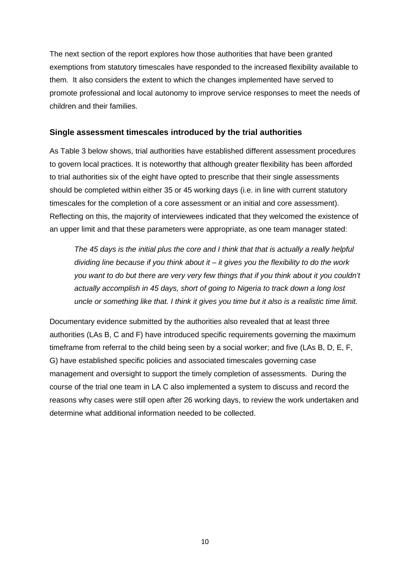The next section of the report explores how those authorities that have been granted exemptions from statutory timescales have responded to the increased flexibility available to them. It also considers the extent to which the changes implemented have served to promote professional and local autonomy to improve service responses to meet the needs of children and their families.

#### <span id="page-19-0"></span>**Single assessment timescales introduced by the trial authorities**

As Table 3 below shows, trial authorities have established different assessment procedures to govern local practices. It is noteworthy that although greater flexibility has been afforded to trial authorities six of the eight have opted to prescribe that their single assessments should be completed within either 35 or 45 working days (i.e. in line with current statutory timescales for the completion of a core assessment or an initial and core assessment). Reflecting on this, the majority of interviewees indicated that they welcomed the existence of an upper limit and that these parameters were appropriate, as one team manager stated:

*The 45 days is the initial plus the core and I think that that is actually a really helpful dividing line because if you think about it – it gives you the flexibility to do the work you want to do but there are very very few things that if you think about it you couldn't actually accomplish in 45 days, short of going to Nigeria to track down a long lost uncle or something like that. I think it gives you time but it also is a realistic time limit.* 

Documentary evidence submitted by the authorities also revealed that at least three authorities (LAs B, C and F) have introduced specific requirements governing the maximum timeframe from referral to the child being seen by a social worker; and five (LAs B, D, E, F, G) have established specific policies and associated timescales governing case management and oversight to support the timely completion of assessments. During the course of the trial one team in LA C also implemented a system to discuss and record the reasons why cases were still open after 26 working days, to review the work undertaken and determine what additional information needed to be collected.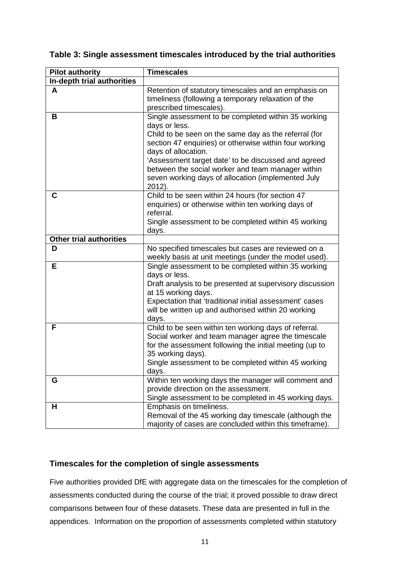| <b>Pilot authority</b>         | <b>Timescales</b>                                                                                                                                                                                                                                                                                                                                                                          |
|--------------------------------|--------------------------------------------------------------------------------------------------------------------------------------------------------------------------------------------------------------------------------------------------------------------------------------------------------------------------------------------------------------------------------------------|
| In-depth trial authorities     |                                                                                                                                                                                                                                                                                                                                                                                            |
| A                              | Retention of statutory timescales and an emphasis on<br>timeliness (following a temporary relaxation of the<br>prescribed timescales).                                                                                                                                                                                                                                                     |
| B                              | Single assessment to be completed within 35 working<br>days or less.<br>Child to be seen on the same day as the referral (for<br>section 47 enquiries) or otherwise within four working<br>days of allocation.<br>'Assessment target date' to be discussed and agreed<br>between the social worker and team manager within<br>seven working days of allocation (implemented July<br>2012). |
| C                              | Child to be seen within 24 hours (for section 47<br>enquiries) or otherwise within ten working days of<br>referral.<br>Single assessment to be completed within 45 working<br>days.                                                                                                                                                                                                        |
| <b>Other trial authorities</b> |                                                                                                                                                                                                                                                                                                                                                                                            |
| D                              | No specified timescales but cases are reviewed on a<br>weekly basis at unit meetings (under the model used).                                                                                                                                                                                                                                                                               |
| Е                              | Single assessment to be completed within 35 working<br>days or less.<br>Draft analysis to be presented at supervisory discussion<br>at 15 working days.<br>Expectation that 'traditional initial assessment' cases<br>will be written up and authorised within 20 working<br>days.                                                                                                         |
| F                              | Child to be seen within ten working days of referral.<br>Social worker and team manager agree the timescale<br>for the assessment following the initial meeting (up to<br>35 working days).<br>Single assessment to be completed within 45 working<br>days.                                                                                                                                |
| G                              | Within ten working days the manager will comment and<br>provide direction on the assessment.<br>Single assessment to be completed in 45 working days.                                                                                                                                                                                                                                      |
| н                              | Emphasis on timeliness.<br>Removal of the 45 working day timescale (although the<br>majority of cases are concluded within this timeframe).                                                                                                                                                                                                                                                |

#### <span id="page-20-1"></span>**Table 3: Single assessment timescales introduced by the trial authorities**

### <span id="page-20-0"></span>**Timescales for the completion of single assessments**

Five authorities provided DfE with aggregate data on the timescales for the completion of assessments conducted during the course of the trial; it proved possible to draw direct comparisons between four of these datasets. These data are presented in full in the appendices. Information on the proportion of assessments completed within statutory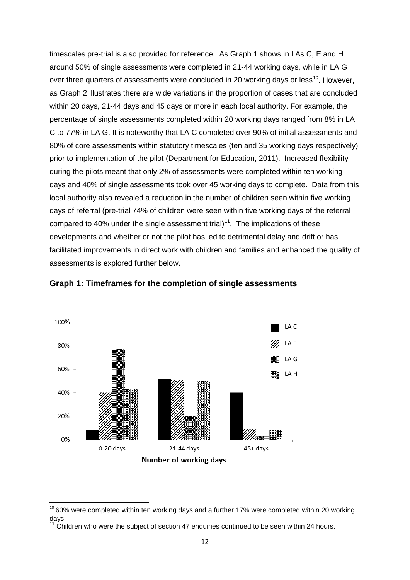timescales pre-trial is also provided for reference. As Graph 1 shows in LAs C, E and H around 50% of single assessments were completed in 21-44 working days, while in LA G over three quarters of assessments were concluded in 20 working days or less<sup>[10](#page-21-1)</sup>. However, as Graph 2 illustrates there are wide variations in the proportion of cases that are concluded within 20 days, 21-44 days and 45 days or more in each local authority. For example, the percentage of single assessments completed within 20 working days ranged from 8% in LA C to 77% in LA G. It is noteworthy that LA C completed over 90% of initial assessments and 80% of core assessments within statutory timescales (ten and 35 working days respectively) prior to implementation of the pilot (Department for Education, 2011). Increased flexibility during the pilots meant that only 2% of assessments were completed within ten working days and 40% of single assessments took over 45 working days to complete. Data from this local authority also revealed a reduction in the number of children seen within five working days of referral (pre-trial 74% of children were seen within five working days of the referral compared to 40% under the single assessment trial)<sup>11</sup>. The implications of these developments and whether or not the pilot has led to detrimental delay and drift or has facilitated improvements in direct work with children and families and enhanced the quality of assessments is explored further below.



<span id="page-21-0"></span>**Graph 1: Timeframes for the completion of single assessments**

<span id="page-21-1"></span> $10$  60% were completed within ten working days and a further 17% were completed within 20 working days.

<span id="page-21-2"></span><sup>11</sup> Children who were the subject of section 47 enquiries continued to be seen within 24 hours.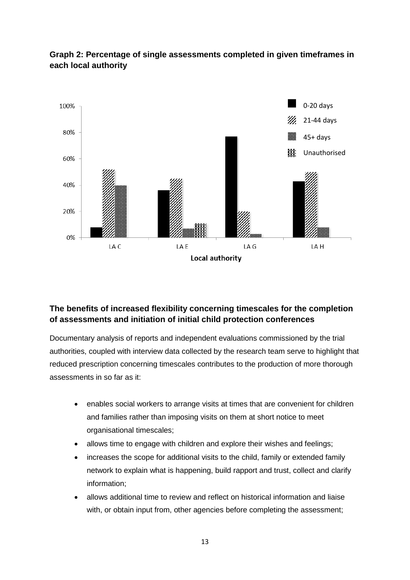

# <span id="page-22-1"></span>**Graph 2: Percentage of single assessments completed in given timeframes in each local authority**

# <span id="page-22-0"></span>**The benefits of increased flexibility concerning timescales for the completion of assessments and initiation of initial child protection conferences**

Documentary analysis of reports and independent evaluations commissioned by the trial authorities, coupled with interview data collected by the research team serve to highlight that reduced prescription concerning timescales contributes to the production of more thorough assessments in so far as it:

- enables social workers to arrange visits at times that are convenient for children and families rather than imposing visits on them at short notice to meet organisational timescales;
- allows time to engage with children and explore their wishes and feelings;
- increases the scope for additional visits to the child, family or extended family network to explain what is happening, build rapport and trust, collect and clarify information;
- allows additional time to review and reflect on historical information and liaise with, or obtain input from, other agencies before completing the assessment;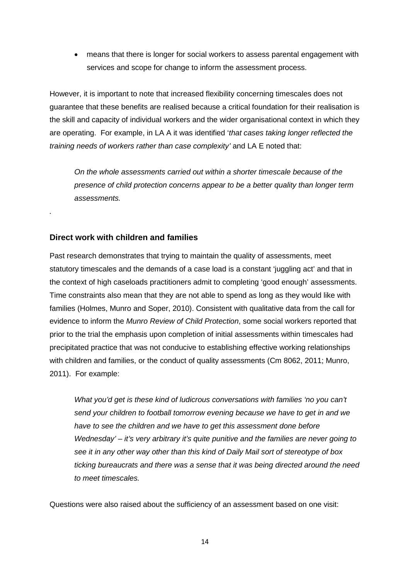• means that there is longer for social workers to assess parental engagement with services and scope for change to inform the assessment process.

However, it is important to note that increased flexibility concerning timescales does not guarantee that these benefits are realised because a critical foundation for their realisation is the skill and capacity of individual workers and the wider organisational context in which they are operating. For example, in LA A it was identified '*that cases taking longer reflected the training needs of workers rather than case complexity'* and LA E noted that:

*On the whole assessments carried out within a shorter timescale because of the presence of child protection concerns appear to be a better quality than longer term assessments.* 

### **Direct work with children and families**

<span id="page-23-0"></span>*.*

Past research demonstrates that trying to maintain the quality of assessments, meet statutory timescales and the demands of a case load is a constant 'juggling act' and that in the context of high caseloads practitioners admit to completing 'good enough' assessments. Time constraints also mean that they are not able to spend as long as they would like with families (Holmes, Munro and Soper, 2010). Consistent with qualitative data from the call for evidence to inform the *Munro Review of Child Protection*, some social workers reported that prior to the trial the emphasis upon completion of initial assessments within timescales had precipitated practice that was not conducive to establishing effective working relationships with children and families, or the conduct of quality assessments (Cm 8062, 2011; Munro, 2011). For example:

*What you'd get is these kind of ludicrous conversations with families 'no you can't send your children to football tomorrow evening because we have to get in and we have to see the children and we have to get this assessment done before Wednesday' – it's very arbitrary it's quite punitive and the families are never going to see it in any other way other than this kind of Daily Mail sort of stereotype of box ticking bureaucrats and there was a sense that it was being directed around the need to meet timescales.*

Questions were also raised about the sufficiency of an assessment based on one visit: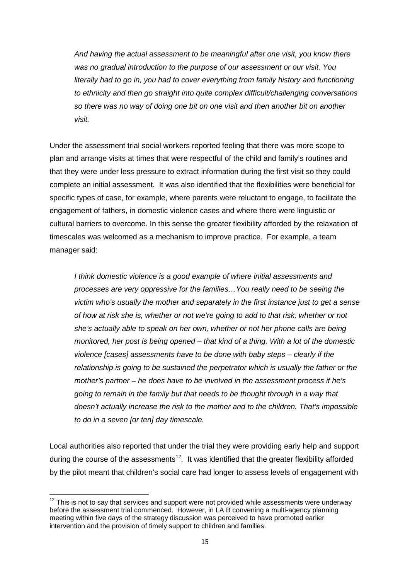*And having the actual assessment to be meaningful after one visit, you know there was no gradual introduction to the purpose of our assessment or our visit. You literally had to go in, you had to cover everything from family history and functioning to ethnicity and then go straight into quite complex difficult/challenging conversations so there was no way of doing one bit on one visit and then another bit on another visit.* 

Under the assessment trial social workers reported feeling that there was more scope to plan and arrange visits at times that were respectful of the child and family's routines and that they were under less pressure to extract information during the first visit so they could complete an initial assessment. It was also identified that the flexibilities were beneficial for specific types of case, for example, where parents were reluctant to engage, to facilitate the engagement of fathers, in domestic violence cases and where there were linguistic or cultural barriers to overcome. In this sense the greater flexibility afforded by the relaxation of timescales was welcomed as a mechanism to improve practice. For example, a team manager said:

*I think domestic violence is a good example of where initial assessments and processes are very oppressive for the families…You really need to be seeing the victim who's usually the mother and separately in the first instance just to get a sense of how at risk she is, whether or not we're going to add to that risk, whether or not she's actually able to speak on her own, whether or not her phone calls are being monitored, her post is being opened – that kind of a thing. With a lot of the domestic violence [cases] assessments have to be done with baby steps – clearly if the relationship is going to be sustained the perpetrator which is usually the father or the mother's partner – he does have to be involved in the assessment process if he's going to remain in the family but that needs to be thought through in a way that doesn't actually increase the risk to the mother and to the children. That's impossible to do in a seven [or ten] day timescale.* 

Local authorities also reported that under the trial they were providing early help and support during the course of the assessments<sup>[12](#page-24-0)</sup>. It was identified that the greater flexibility afforded by the pilot meant that children's social care had longer to assess levels of engagement with

<span id="page-24-0"></span> $12$  This is not to sav that services and support were not provided while assessments were underway before the assessment trial commenced. However, in LA B convening a multi-agency planning meeting within five days of the strategy discussion was perceived to have promoted earlier intervention and the provision of timely support to children and families.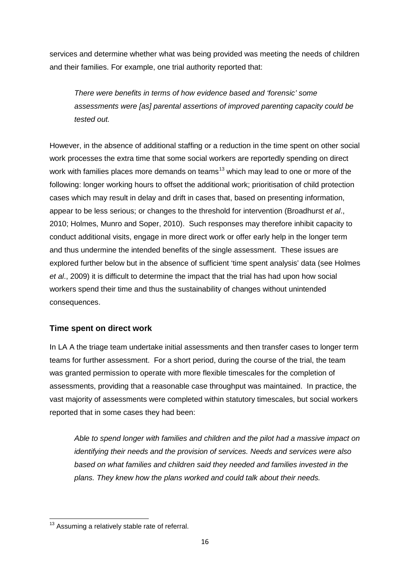services and determine whether what was being provided was meeting the needs of children and their families. For example, one trial authority reported that:

*There were benefits in terms of how evidence based and 'forensic' some assessments were [as] parental assertions of improved parenting capacity could be tested out.*

However, in the absence of additional staffing or a reduction in the time spent on other social work processes the extra time that some social workers are reportedly spending on direct work with families places more demands on teams<sup>[13](#page-25-1)</sup> which may lead to one or more of the following: longer working hours to offset the additional work; prioritisation of child protection cases which may result in delay and drift in cases that, based on presenting information, appear to be less serious; or changes to the threshold for intervention (Broadhurst *et al*., 2010; Holmes, Munro and Soper, 2010). Such responses may therefore inhibit capacity to conduct additional visits, engage in more direct work or offer early help in the longer term and thus undermine the intended benefits of the single assessment. These issues are explored further below but in the absence of sufficient 'time spent analysis' data (see Holmes *et al*., 2009) it is difficult to determine the impact that the trial has had upon how social workers spend their time and thus the sustainability of changes without unintended consequences.

# <span id="page-25-0"></span>**Time spent on direct work**

In LA A the triage team undertake initial assessments and then transfer cases to longer term teams for further assessment. For a short period, during the course of the trial, the team was granted permission to operate with more flexible timescales for the completion of assessments, providing that a reasonable case throughput was maintained. In practice, the vast majority of assessments were completed within statutory timescales, but social workers reported that in some cases they had been:

*Able to spend longer with families and children and the pilot had a massive impact on identifying their needs and the provision of services. Needs and services were also based on what families and children said they needed and families invested in the plans. They knew how the plans worked and could talk about their needs.*

<span id="page-25-1"></span> $13$  Assuming a relatively stable rate of referral.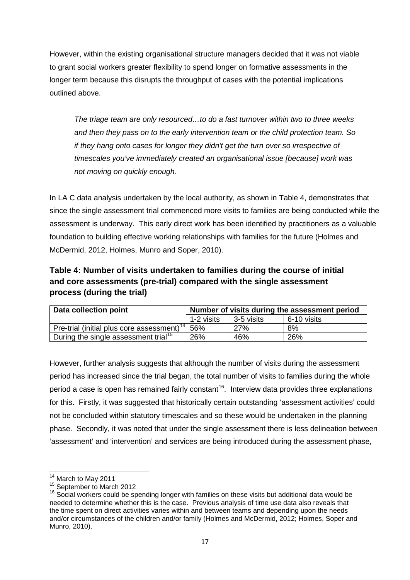However, within the existing organisational structure managers decided that it was not viable to grant social workers greater flexibility to spend longer on formative assessments in the longer term because this disrupts the throughput of cases with the potential implications outlined above.

*The triage team are only resourced…to do a fast turnover within two to three weeks and then they pass on to the early intervention team or the child protection team. So if they hang onto cases for longer they didn't get the turn over so irrespective of timescales you've immediately created an organisational issue [because] work was not moving on quickly enough.*

In LA C data analysis undertaken by the local authority, as shown in Table 4, demonstrates that since the single assessment trial commenced more visits to families are being conducted while the assessment is underway. This early direct work has been identified by practitioners as a valuable foundation to building effective working relationships with families for the future (Holmes and McDermid, 2012, Holmes, Munro and Soper, 2010).

<span id="page-26-0"></span>**Table 4: Number of visits undertaken to families during the course of initial and core assessments (pre-trial) compared with the single assessment process (during the trial)**

| Data collection point                                  | Number of visits during the assessment period |            |             |  |  |  |
|--------------------------------------------------------|-----------------------------------------------|------------|-------------|--|--|--|
|                                                        | 1-2 visits                                    | 3-5 visits | 6-10 visits |  |  |  |
| Pre-trial (initial plus core assessment) <sup>14</sup> | 56%                                           | <b>27%</b> | 8%          |  |  |  |
| During the single assessment trial <sup>15</sup>       | 26%                                           | 46%        | 26%         |  |  |  |

However, further analysis suggests that although the number of visits during the assessment period has increased since the trial began, the total number of visits to families during the whole period a case is open has remained fairly constant<sup>[16](#page-26-3)</sup>. Interview data provides three explanations for this. Firstly, it was suggested that historically certain outstanding 'assessment activities' could not be concluded within statutory timescales and so these would be undertaken in the planning phase. Secondly, it was noted that under the single assessment there is less delineation between 'assessment' and 'intervention' and services are being introduced during the assessment phase,

<span id="page-26-3"></span>

<span id="page-26-2"></span><span id="page-26-1"></span><sup>&</sup>lt;sup>14</sup> March to May 2011<br><sup>15</sup> September to March 2012<br><sup>16</sup> Social workers could be spending longer with families on these visits but additional data would be needed to determine whether this is the case. Previous analysis of time use data also reveals that the time spent on direct activities varies within and between teams and depending upon the needs and/or circumstances of the children and/or family (Holmes and McDermid, 2012; Holmes, Soper and Munro, 2010).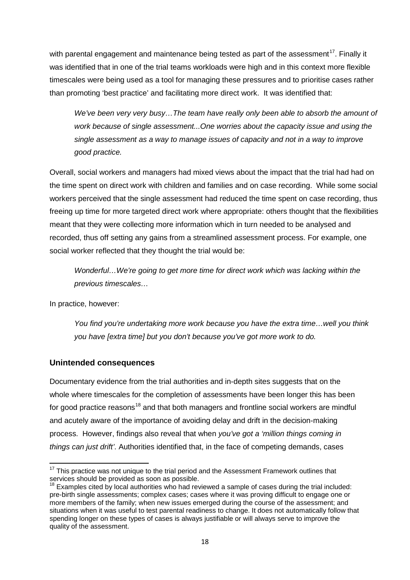with parental engagement and maintenance being tested as part of the assessment<sup>[17](#page-27-1)</sup>. Finally it was identified that in one of the trial teams workloads were high and in this context more flexible timescales were being used as a tool for managing these pressures and to prioritise cases rather than promoting 'best practice' and facilitating more direct work. It was identified that:

*We've been very very busy…The team have really only been able to absorb the amount of work because of single assessment...One worries about the capacity issue and using the single assessment as a way to manage issues of capacity and not in a way to improve good practice.* 

Overall, social workers and managers had mixed views about the impact that the trial had had on the time spent on direct work with children and families and on case recording. While some social workers perceived that the single assessment had reduced the time spent on case recording, thus freeing up time for more targeted direct work where appropriate: others thought that the flexibilities meant that they were collecting more information which in turn needed to be analysed and recorded, thus off setting any gains from a streamlined assessment process. For example, one social worker reflected that they thought the trial would be:

*Wonderful…We're going to get more time for direct work which was lacking within the previous timescales…*

In practice, however:

*You find you're undertaking more work because you have the extra time…well you think you have [extra time] but you don't because you've got more work to do.*

### <span id="page-27-0"></span>**Unintended consequences**

Documentary evidence from the trial authorities and in-depth sites suggests that on the whole where timescales for the completion of assessments have been longer this has been for good practice reasons<sup>[18](#page-27-2)</sup> and that both managers and frontline social workers are mindful and acutely aware of the importance of avoiding delay and drift in the decision-making process. However, findings also reveal that when *you've got a 'million things coming in things can just drift'*. Authorities identified that, in the face of competing demands, cases

<span id="page-27-1"></span> $17$  This practice was not unique to the trial period and the Assessment Framework outlines that services should be provided as soon as possible.

<span id="page-27-2"></span> $18$  Examples cited by local authorities who had reviewed a sample of cases during the trial included: pre-birth single assessments; complex cases; cases where it was proving difficult to engage one or more members of the family; when new issues emerged during the course of the assessment; and situations when it was useful to test parental readiness to change. It does not automatically follow that spending longer on these types of cases is always justifiable or will always serve to improve the quality of the assessment.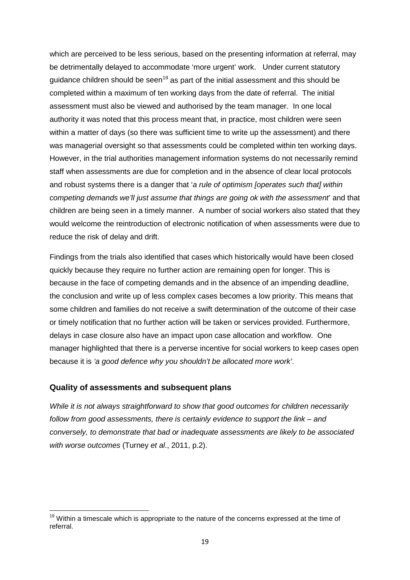which are perceived to be less serious, based on the presenting information at referral, may be detrimentally delayed to accommodate 'more urgent' work. Under current statutory quidance children should be seen<sup>[19](#page-28-1)</sup> as part of the initial assessment and this should be completed within a maximum of ten working days from the date of referral. The initial assessment must also be viewed and authorised by the team manager. In one local authority it was noted that this process meant that, in practice, most children were seen within a matter of days (so there was sufficient time to write up the assessment) and there was managerial oversight so that assessments could be completed within ten working days. However, in the trial authorities management information systems do not necessarily remind staff when assessments are due for completion and in the absence of clear local protocols and robust systems there is a danger that '*a rule of optimism [operates such that] within competing demands we'll just assume that things are going ok with the assessment*' and that children are being seen in a timely manner. A number of social workers also stated that they would welcome the reintroduction of electronic notification of when assessments were due to reduce the risk of delay and drift.

Findings from the trials also identified that cases which historically would have been closed quickly because they require no further action are remaining open for longer. This is because in the face of competing demands and in the absence of an impending deadline, the conclusion and write up of less complex cases becomes a low priority. This means that some children and families do not receive a swift determination of the outcome of their case or timely notification that no further action will be taken or services provided. Furthermore, delays in case closure also have an impact upon case allocation and workflow. One manager highlighted that there is a perverse incentive for social workers to keep cases open because it is *'a good defence why you shouldn't be allocated more work'*.

#### <span id="page-28-0"></span>**Quality of assessments and subsequent plans**

*While it is not always straightforward to show that good outcomes for children necessarily follow from good assessments, there is certainly evidence to support the link – and conversely, to demonstrate that bad or inadequate assessments are likely to be associated with worse outcomes* (Turney *et al*., 2011, p.2).

<span id="page-28-1"></span><sup>&</sup>lt;sup>19</sup> Within a timescale which is appropriate to the nature of the concerns expressed at the time of referral.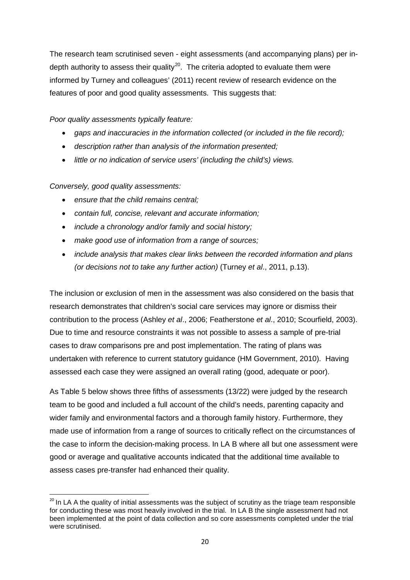The research team scrutinised seven - eight assessments (and accompanying plans) per indepth authority to assess their quality<sup>20</sup>. The criteria adopted to evaluate them were informed by Turney and colleagues' (2011) recent review of research evidence on the features of poor and good quality assessments. This suggests that:

*Poor quality assessments typically feature:*

- *gaps and inaccuracies in the information collected (or included in the file record);*
- *description rather than analysis of the information presented;*
- *little or no indication of service users' (including the child's) views.*

*Conversely, good quality assessments:*

- *ensure that the child remains central;*
- *contain full, concise, relevant and accurate information;*
- *include a chronology and/or family and social history;*
- *make good use of information from a range of sources;*
- *include analysis that makes clear links between the recorded information and plans (or decisions not to take any further action)* (Turney *et al*., 2011, p.13).

The inclusion or exclusion of men in the assessment was also considered on the basis that research demonstrates that children's social care services may ignore or dismiss their contribution to the process (Ashley *et al*., 2006; Featherstone *et al*., 2010; Scourfield, 2003). Due to time and resource constraints it was not possible to assess a sample of pre-trial cases to draw comparisons pre and post implementation. The rating of plans was undertaken with reference to current statutory guidance (HM Government, 2010). Having assessed each case they were assigned an overall rating (good, adequate or poor).

As Table 5 below shows three fifths of assessments (13/22) were judged by the research team to be good and included a full account of the child's needs, parenting capacity and wider family and environmental factors and a thorough family history. Furthermore, they made use of information from a range of sources to critically reflect on the circumstances of the case to inform the decision-making process. In LA B where all but one assessment were good or average and qualitative accounts indicated that the additional time available to assess cases pre-transfer had enhanced their quality.

<span id="page-29-0"></span> $20$  In LA A the quality of initial assessments was the subject of scrutiny as the triage team responsible for conducting these was most heavily involved in the trial. In LA B the single assessment had not been implemented at the point of data collection and so core assessments completed under the trial were scrutinised.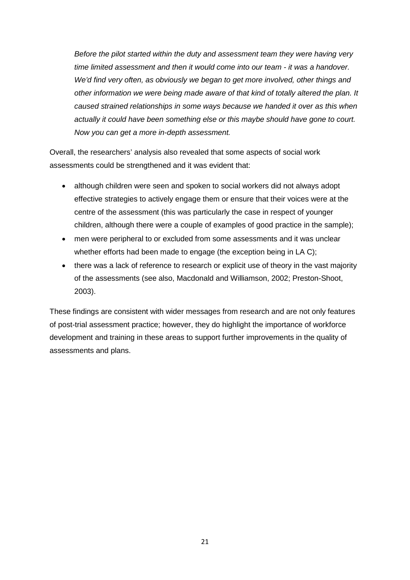*Before the pilot started within the duty and assessment team they were having very time limited assessment and then it would come into our team - it was a handover. We'd find very often, as obviously we began to get more involved, other things and other information we were being made aware of that kind of totally altered the plan. It caused strained relationships in some ways because we handed it over as this when actually it could have been something else or this maybe should have gone to court. Now you can get a more in-depth assessment.*

Overall, the researchers' analysis also revealed that some aspects of social work assessments could be strengthened and it was evident that:

- although children were seen and spoken to social workers did not always adopt effective strategies to actively engage them or ensure that their voices were at the centre of the assessment (this was particularly the case in respect of younger children, although there were a couple of examples of good practice in the sample);
- men were peripheral to or excluded from some assessments and it was unclear whether efforts had been made to engage (the exception being in LA C);
- there was a lack of reference to research or explicit use of theory in the vast majority of the assessments (see also, Macdonald and Williamson, 2002; Preston-Shoot, 2003).

<span id="page-30-0"></span>These findings are consistent with wider messages from research and are not only features of post-trial assessment practice; however, they do highlight the importance of workforce development and training in these areas to support further improvements in the quality of assessments and plans.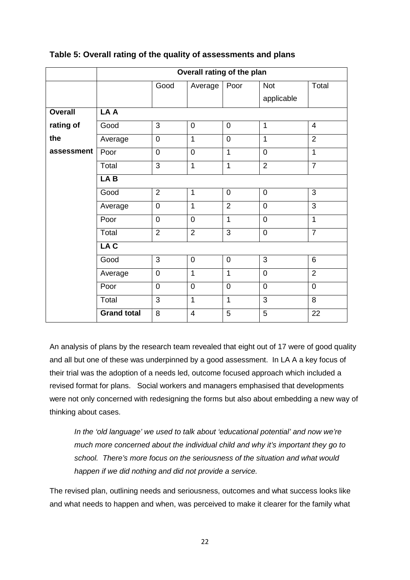|                | Overall rating of the plan |                |                |                |                |                |  |  |  |
|----------------|----------------------------|----------------|----------------|----------------|----------------|----------------|--|--|--|
|                |                            | Good           | Average        | Poor           | <b>Not</b>     | Total          |  |  |  |
|                |                            |                |                |                | applicable     |                |  |  |  |
| <b>Overall</b> | LA A                       |                |                |                |                |                |  |  |  |
| rating of      | Good                       | 3              | $\mathbf 0$    | $\overline{0}$ | 1              | 4              |  |  |  |
| the            | Average                    | $\mathbf 0$    | $\overline{1}$ | $\overline{0}$ | 1              | $\overline{2}$ |  |  |  |
| assessment     | Poor                       | $\overline{0}$ | $\overline{0}$ | $\mathbf{1}$   | $\overline{0}$ | $\overline{1}$ |  |  |  |
|                | Total                      | 3              | $\mathbf 1$    | 1              | $\overline{2}$ | $\overline{7}$ |  |  |  |
|                | LAB                        |                |                |                |                |                |  |  |  |
|                | Good                       | $\overline{2}$ | $\mathbf{1}$   | $\overline{0}$ | $\mathbf 0$    | 3              |  |  |  |
|                | Average                    | $\overline{0}$ | $\overline{1}$ | $\overline{2}$ | $\overline{0}$ | 3              |  |  |  |
|                | Poor                       | $\overline{0}$ | $\overline{0}$ | $\overline{1}$ | $\overline{0}$ | $\mathbf{1}$   |  |  |  |
|                | Total                      | $\overline{2}$ | $\overline{2}$ | $\overline{3}$ | $\overline{0}$ | $\overline{7}$ |  |  |  |
|                | LA C                       |                |                |                |                |                |  |  |  |
|                | Good                       | $\overline{3}$ | $\mathbf 0$    | $\overline{0}$ | $\overline{3}$ | 6              |  |  |  |
|                | Average                    | $\overline{0}$ | 1              | $\mathbf{1}$   | $\mathbf 0$    | $\overline{2}$ |  |  |  |
|                | Poor                       | $\mathbf 0$    | $\mathbf 0$    | $\overline{0}$ | $\mathbf 0$    | $\mathbf 0$    |  |  |  |
|                | Total                      | $\overline{3}$ | $\overline{1}$ | $\mathbf{1}$   | $\overline{3}$ | 8              |  |  |  |
|                | <b>Grand total</b>         | 8              | 4              | 5              | 5              | 22             |  |  |  |

### **Table 5: Overall rating of the quality of assessments and plans**

An analysis of plans by the research team revealed that eight out of 17 were of good quality and all but one of these was underpinned by a good assessment. In LA A a key focus of their trial was the adoption of a needs led, outcome focused approach which included a revised format for plans. Social workers and managers emphasised that developments were not only concerned with redesigning the forms but also about embedding a new way of thinking about cases.

*In the 'old language' we used to talk about 'educational potential' and now we're much more concerned about the individual child and why it's important they go to school. There's more focus on the seriousness of the situation and what would happen if we did nothing and did not provide a service.*

The revised plan, outlining needs and seriousness, outcomes and what success looks like and what needs to happen and when, was perceived to make it clearer for the family what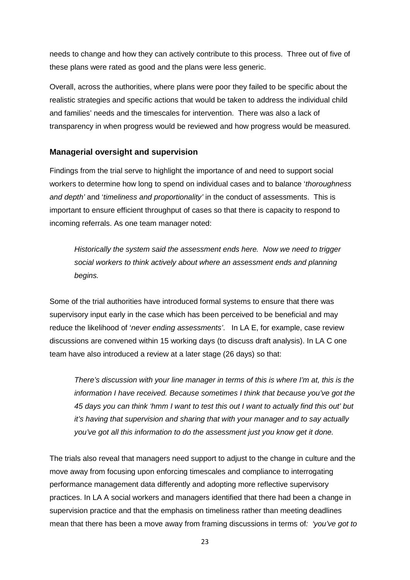needs to change and how they can actively contribute to this process. Three out of five of these plans were rated as good and the plans were less generic.

Overall, across the authorities, where plans were poor they failed to be specific about the realistic strategies and specific actions that would be taken to address the individual child and families' needs and the timescales for intervention. There was also a lack of transparency in when progress would be reviewed and how progress would be measured.

### <span id="page-32-0"></span>**Managerial oversight and supervision**

Findings from the trial serve to highlight the importance of and need to support social workers to determine how long to spend on individual cases and to balance '*thoroughness and depth'* and '*timeliness and proportionality'* in the conduct of assessments. This is important to ensure efficient throughput of cases so that there is capacity to respond to incoming referrals. As one team manager noted:

*Historically the system said the assessment ends here. Now we need to trigger social workers to think actively about where an assessment ends and planning begins.* 

Some of the trial authorities have introduced formal systems to ensure that there was supervisory input early in the case which has been perceived to be beneficial and may reduce the likelihood of '*never ending assessments'*. In LA E, for example, case review discussions are convened within 15 working days (to discuss draft analysis). In LA C one team have also introduced a review at a later stage (26 days) so that:

*There's discussion with your line manager in terms of this is where I'm at, this is the information I have received. Because sometimes I think that because you've got the 45 days you can think 'hmm I want to test this out I want to actually find this out' but it's having that supervision and sharing that with your manager and to say actually you've got all this information to do the assessment just you know get it done.*

The trials also reveal that managers need support to adjust to the change in culture and the move away from focusing upon enforcing timescales and compliance to interrogating performance management data differently and adopting more reflective supervisory practices. In LA A social workers and managers identified that there had been a change in supervision practice and that the emphasis on timeliness rather than meeting deadlines mean that there has been a move away from framing discussions in terms of*: 'you've got to*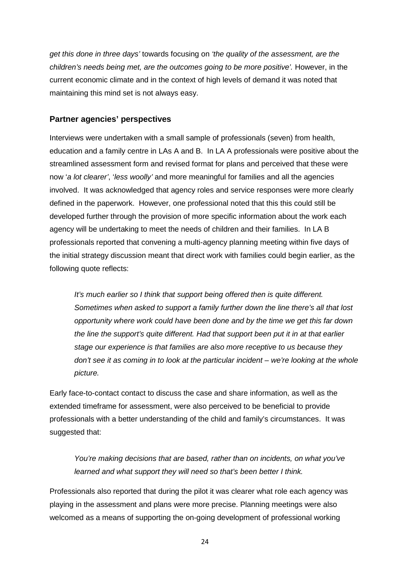*get this done in three days'* towards focusing on *'the quality of the assessment, are the children's needs being met, are the outcomes going to be more positive'.* However, in the current economic climate and in the context of high levels of demand it was noted that maintaining this mind set is not always easy.

#### <span id="page-33-0"></span>**Partner agencies' perspectives**

Interviews were undertaken with a small sample of professionals (seven) from health, education and a family centre in LAs A and B. In LA A professionals were positive about the streamlined assessment form and revised format for plans and perceived that these were now '*a lot clearer'*, '*less woolly'* and more meaningful for families and all the agencies involved. It was acknowledged that agency roles and service responses were more clearly defined in the paperwork. However, one professional noted that this this could still be developed further through the provision of more specific information about the work each agency will be undertaking to meet the needs of children and their families. In LA B professionals reported that convening a multi-agency planning meeting within five days of the initial strategy discussion meant that direct work with families could begin earlier, as the following quote reflects:

*It's much earlier so I think that support being offered then is quite different. Sometimes when asked to support a family further down the line there's all that lost opportunity where work could have been done and by the time we get this far down the line the support's quite different. Had that support been put it in at that earlier stage our experience is that families are also more receptive to us because they don't see it as coming in to look at the particular incident – we're looking at the whole picture.* 

Early face-to-contact contact to discuss the case and share information, as well as the extended timeframe for assessment, were also perceived to be beneficial to provide professionals with a better understanding of the child and family's circumstances. It was suggested that:

*You're making decisions that are based, rather than on incidents, on what you've learned and what support they will need so that's been better I think.* 

Professionals also reported that during the pilot it was clearer what role each agency was playing in the assessment and plans were more precise. Planning meetings were also welcomed as a means of supporting the on-going development of professional working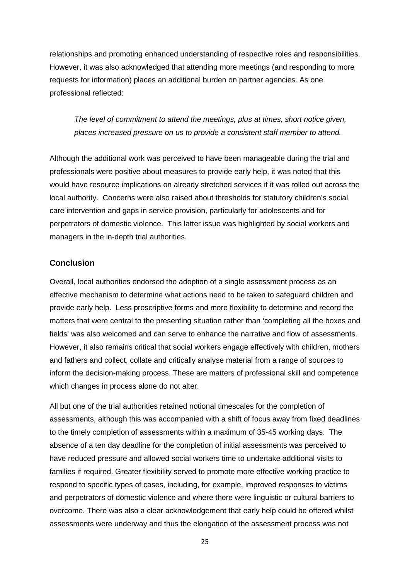relationships and promoting enhanced understanding of respective roles and responsibilities. However, it was also acknowledged that attending more meetings (and responding to more requests for information) places an additional burden on partner agencies. As one professional reflected:

*The level of commitment to attend the meetings, plus at times, short notice given, places increased pressure on us to provide a consistent staff member to attend.*

Although the additional work was perceived to have been manageable during the trial and professionals were positive about measures to provide early help, it was noted that this would have resource implications on already stretched services if it was rolled out across the local authority. Concerns were also raised about thresholds for statutory children's social care intervention and gaps in service provision, particularly for adolescents and for perpetrators of domestic violence. This latter issue was highlighted by social workers and managers in the in-depth trial authorities.

#### <span id="page-34-0"></span>**Conclusion**

Overall, local authorities endorsed the adoption of a single assessment process as an effective mechanism to determine what actions need to be taken to safeguard children and provide early help. Less prescriptive forms and more flexibility to determine and record the matters that were central to the presenting situation rather than 'completing all the boxes and fields' was also welcomed and can serve to enhance the narrative and flow of assessments. However, it also remains critical that social workers engage effectively with children, mothers and fathers and collect, collate and critically analyse material from a range of sources to inform the decision-making process. These are matters of professional skill and competence which changes in process alone do not alter.

All but one of the trial authorities retained notional timescales for the completion of assessments, although this was accompanied with a shift of focus away from fixed deadlines to the timely completion of assessments within a maximum of 35-45 working days. The absence of a ten day deadline for the completion of initial assessments was perceived to have reduced pressure and allowed social workers time to undertake additional visits to families if required. Greater flexibility served to promote more effective working practice to respond to specific types of cases, including, for example, improved responses to victims and perpetrators of domestic violence and where there were linguistic or cultural barriers to overcome. There was also a clear acknowledgement that early help could be offered whilst assessments were underway and thus the elongation of the assessment process was not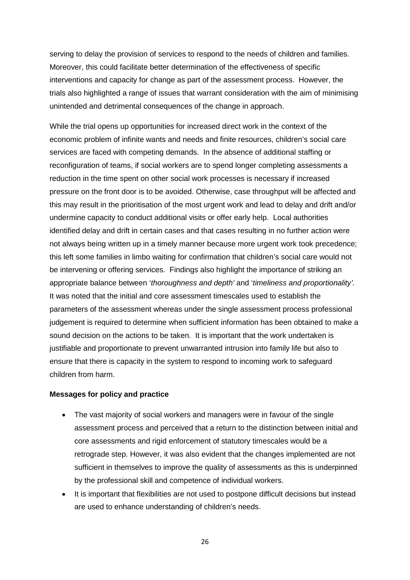serving to delay the provision of services to respond to the needs of children and families. Moreover, this could facilitate better determination of the effectiveness of specific interventions and capacity for change as part of the assessment process. However, the trials also highlighted a range of issues that warrant consideration with the aim of minimising unintended and detrimental consequences of the change in approach.

While the trial opens up opportunities for increased direct work in the context of the economic problem of infinite wants and needs and finite resources, children's social care services are faced with competing demands. In the absence of additional staffing or reconfiguration of teams, if social workers are to spend longer completing assessments a reduction in the time spent on other social work processes is necessary if increased pressure on the front door is to be avoided. Otherwise, case throughput will be affected and this may result in the prioritisation of the most urgent work and lead to delay and drift and/or undermine capacity to conduct additional visits or offer early help. Local authorities identified delay and drift in certain cases and that cases resulting in no further action were not always being written up in a timely manner because more urgent work took precedence; this left some families in limbo waiting for confirmation that children's social care would not be intervening or offering services. Findings also highlight the importance of striking an appropriate balance between '*thoroughness and depth'* and '*timeliness and proportionality'.*  It was noted that the initial and core assessment timescales used to establish the parameters of the assessment whereas under the single assessment process professional judgement is required to determine when sufficient information has been obtained to make a sound decision on the actions to be taken. It is important that the work undertaken is justifiable and proportionate to prevent unwarranted intrusion into family life but also to ensure that there is capacity in the system to respond to incoming work to safeguard children from harm.

#### **Messages for policy and practice**

- The vast majority of social workers and managers were in favour of the single assessment process and perceived that a return to the distinction between initial and core assessments and rigid enforcement of statutory timescales would be a retrograde step. However, it was also evident that the changes implemented are not sufficient in themselves to improve the quality of assessments as this is underpinned by the professional skill and competence of individual workers.
- It is important that flexibilities are not used to postpone difficult decisions but instead are used to enhance understanding of children's needs.

26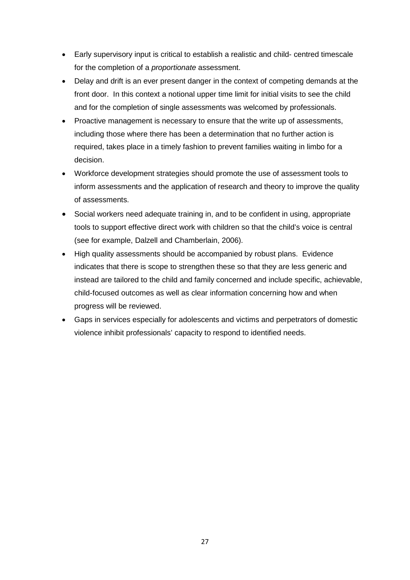- Early supervisory input is critical to establish a realistic and child- centred timescale for the completion of a *proportionate* assessment.
- Delay and drift is an ever present danger in the context of competing demands at the front door. In this context a notional upper time limit for initial visits to see the child and for the completion of single assessments was welcomed by professionals.
- Proactive management is necessary to ensure that the write up of assessments, including those where there has been a determination that no further action is required, takes place in a timely fashion to prevent families waiting in limbo for a decision.
- Workforce development strategies should promote the use of assessment tools to inform assessments and the application of research and theory to improve the quality of assessments.
- Social workers need adequate training in, and to be confident in using, appropriate tools to support effective direct work with children so that the child's voice is central (see for example, Dalzell and Chamberlain, 2006).
- High quality assessments should be accompanied by robust plans. Evidence indicates that there is scope to strengthen these so that they are less generic and instead are tailored to the child and family concerned and include specific, achievable, child-focused outcomes as well as clear information concerning how and when progress will be reviewed.
- Gaps in services especially for adolescents and victims and perpetrators of domestic violence inhibit professionals' capacity to respond to identified needs.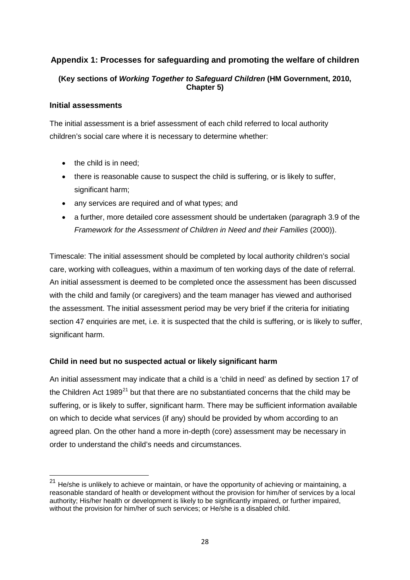# <span id="page-37-0"></span>**Appendix 1: Processes for safeguarding and promoting the welfare of children**

### **(Key sections of** *Working Together to Safeguard Children* **(HM Government, 2010, Chapter 5)**

#### **Initial assessments**

The initial assessment is a brief assessment of each child referred to local authority children's social care where it is necessary to determine whether:

- the child is in need:
- there is reasonable cause to suspect the child is suffering, or is likely to suffer, significant harm;
- any services are required and of what types; and
- a further, more detailed core assessment should be undertaken (paragraph 3.9 of the *Framework for the Assessment of Children in Need and their Families* (2000)).

Timescale: The initial assessment should be completed by local authority children's social care, working with colleagues, within a maximum of ten working days of the date of referral. An initial assessment is deemed to be completed once the assessment has been discussed with the child and family (or caregivers) and the team manager has viewed and authorised the assessment. The initial assessment period may be very brief if the criteria for initiating section 47 enquiries are met, i.e. it is suspected that the child is suffering, or is likely to suffer, significant harm.

### **Child in need but no suspected actual or likely significant harm**

An initial assessment may indicate that a child is a 'child in need' as defined by section 17 of the Children Act  $1989^{21}$  $1989^{21}$  $1989^{21}$  but that there are no substantiated concerns that the child may be suffering, or is likely to suffer, significant harm. There may be sufficient information available on which to decide what services (if any) should be provided by whom according to an agreed plan. On the other hand a more in-depth (core) assessment may be necessary in order to understand the child's needs and circumstances.

<span id="page-37-1"></span> $21$  He/she is unlikely to achieve or maintain, or have the opportunity of achieving or maintaining, a reasonable standard of health or development without the provision for him/her of services by a local authority; His/her health or development is likely to be significantly impaired, or further impaired, without the provision for him/her of such services; or He/she is a disabled child.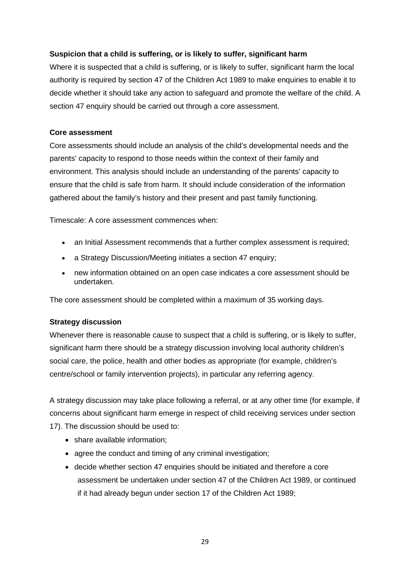### **Suspicion that a child is suffering, or is likely to suffer, significant harm**

Where it is suspected that a child is suffering, or is likely to suffer, significant harm the local authority is required by section 47 of the Children Act 1989 to make enquiries to enable it to decide whether it should take any action to safeguard and promote the welfare of the child. A section 47 enquiry should be carried out through a core assessment.

#### **Core assessment**

Core assessments should include an analysis of the child's developmental needs and the parents' capacity to respond to those needs within the context of their family and environment. This analysis should include an understanding of the parents' capacity to ensure that the child is safe from harm. It should include consideration of the information gathered about the family's history and their present and past family functioning.

Timescale: A core assessment commences when:

- an Initial Assessment recommends that a further complex assessment is required;
- a Strategy Discussion/Meeting initiates a section 47 enquiry;
- new information obtained on an open case indicates a core assessment should be undertaken.

The core assessment should be completed within a maximum of 35 working days.

### **Strategy discussion**

Whenever there is reasonable cause to suspect that a child is suffering, or is likely to suffer, significant harm there should be a strategy discussion involving local authority children's social care, the police, health and other bodies as appropriate (for example, children's centre/school or family intervention projects), in particular any referring agency.

A strategy discussion may take place following a referral, or at any other time (for example, if concerns about significant harm emerge in respect of child receiving services under section 17). The discussion should be used to:

- share available information;
- agree the conduct and timing of any criminal investigation;
- decide whether section 47 enquiries should be initiated and therefore a core assessment be undertaken under section 47 of the Children Act 1989, or continued if it had already begun under section 17 of the Children Act 1989;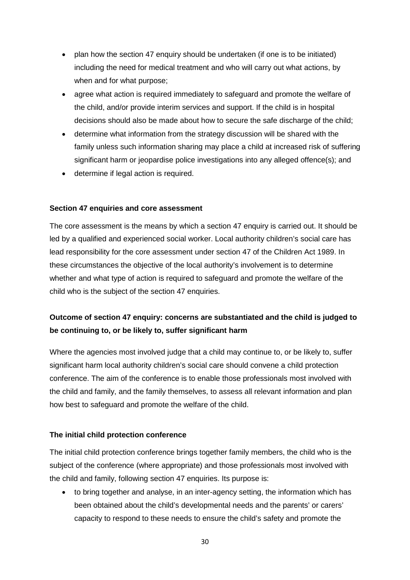- plan how the section 47 enquiry should be undertaken (if one is to be initiated) including the need for medical treatment and who will carry out what actions, by when and for what purpose;
- agree what action is required immediately to safeguard and promote the welfare of the child, and/or provide interim services and support. If the child is in hospital decisions should also be made about how to secure the safe discharge of the child;
- determine what information from the strategy discussion will be shared with the family unless such information sharing may place a child at increased risk of suffering significant harm or jeopardise police investigations into any alleged offence(s); and
- determine if legal action is required.

#### **Section 47 enquiries and core assessment**

The core assessment is the means by which a section 47 enquiry is carried out. It should be led by a qualified and experienced social worker. Local authority children's social care has lead responsibility for the core assessment under section 47 of the Children Act 1989. In these circumstances the objective of the local authority's involvement is to determine whether and what type of action is required to safeguard and promote the welfare of the child who is the subject of the section 47 enquiries.

# **Outcome of section 47 enquiry: concerns are substantiated and the child is judged to be continuing to, or be likely to, suffer significant harm**

Where the agencies most involved judge that a child may continue to, or be likely to, suffer significant harm local authority children's social care should convene a child protection conference. The aim of the conference is to enable those professionals most involved with the child and family, and the family themselves, to assess all relevant information and plan how best to safeguard and promote the welfare of the child.

#### **The initial child protection conference**

The initial child protection conference brings together family members, the child who is the subject of the conference (where appropriate) and those professionals most involved with the child and family, following section 47 enquiries. Its purpose is:

• to bring together and analyse, in an inter-agency setting, the information which has been obtained about the child's developmental needs and the parents' or carers' capacity to respond to these needs to ensure the child's safety and promote the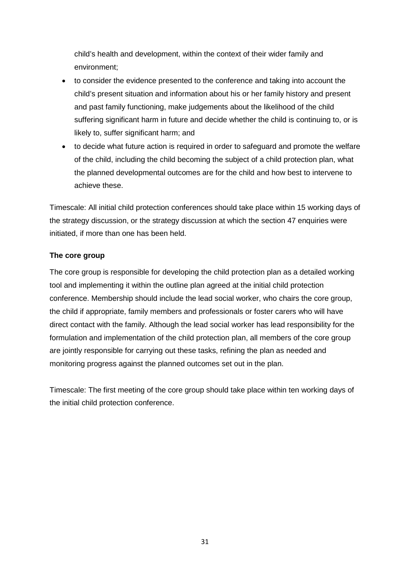child's health and development, within the context of their wider family and environment;

- to consider the evidence presented to the conference and taking into account the child's present situation and information about his or her family history and present and past family functioning, make judgements about the likelihood of the child suffering significant harm in future and decide whether the child is continuing to, or is likely to, suffer significant harm; and
- to decide what future action is required in order to safeguard and promote the welfare of the child, including the child becoming the subject of a child protection plan, what the planned developmental outcomes are for the child and how best to intervene to achieve these.

Timescale: All initial child protection conferences should take place within 15 working days of the strategy discussion, or the strategy discussion at which the section 47 enquiries were initiated, if more than one has been held.

#### **The core group**

The core group is responsible for developing the child protection plan as a detailed working tool and implementing it within the outline plan agreed at the initial child protection conference. Membership should include the lead social worker, who chairs the core group, the child if appropriate, family members and professionals or foster carers who will have direct contact with the family. Although the lead social worker has lead responsibility for the formulation and implementation of the child protection plan, all members of the core group are jointly responsible for carrying out these tasks, refining the plan as needed and monitoring progress against the planned outcomes set out in the plan.

Timescale: The first meeting of the core group should take place within ten working days of the initial child protection conference.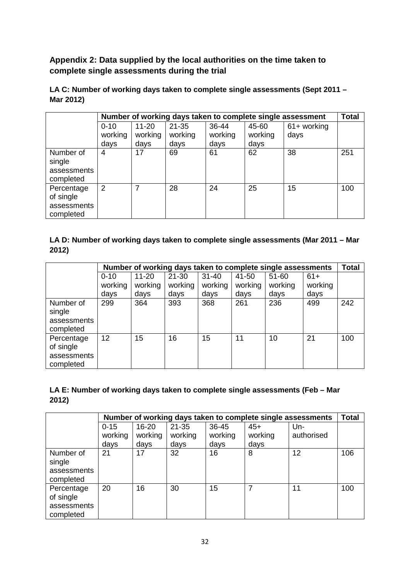<span id="page-41-0"></span>**Appendix 2: Data supplied by the local authorities on the time taken to complete single assessments during the trial** 

**LA C: Number of working days taken to complete single assessments (Sept 2011 – Mar 2012)**

|                                                     | Number of working days taken to complete single assessment |           |           |         |         |                |     |
|-----------------------------------------------------|------------------------------------------------------------|-----------|-----------|---------|---------|----------------|-----|
|                                                     | $0 - 10$                                                   | $11 - 20$ | $21 - 35$ | 36-44   | 45-60   | $61 +$ working |     |
|                                                     | working                                                    | working   | working   | working | working | days           |     |
|                                                     | days                                                       | days      | days      | days    | days    |                |     |
| Number of<br>single                                 | 4                                                          | 17        | 69        | 61      | 62      | 38             | 251 |
| assessments<br>completed                            |                                                            |           |           |         |         |                |     |
| Percentage<br>of single<br>assessments<br>completed | 2                                                          | 7         | 28        | 24      | 25      | 15             | 100 |

### **LA D: Number of working days taken to complete single assessments (Mar 2011 – Mar 2012)**

|                                                     | Number of working days taken to complete single assessments |           |           |           |         |           |         |     |
|-----------------------------------------------------|-------------------------------------------------------------|-----------|-----------|-----------|---------|-----------|---------|-----|
|                                                     | $0 - 10$                                                    | $11 - 20$ | $21 - 30$ | $31 - 40$ | 41-50   | $51 - 60$ | $61+$   |     |
|                                                     | working                                                     | working   | working   | working   | working | working   | working |     |
|                                                     | days                                                        | days      | days      | days      | days    | days      | days    |     |
| Number of<br>single<br>assessments<br>completed     | 299                                                         | 364       | 393       | 368       | 261     | 236       | 499     | 242 |
| Percentage<br>of single<br>assessments<br>completed | 12                                                          | 15        | 16        | 15        | 11      | 10        | 21      | 100 |

# **LA E: Number of working days taken to complete single assessments (Feb – Mar 2012)**

|                                                     | Number of working days taken to complete single assessments |           |           |         |         |            |     |
|-----------------------------------------------------|-------------------------------------------------------------|-----------|-----------|---------|---------|------------|-----|
|                                                     | $0 - 15$                                                    | $16 - 20$ | $21 - 35$ | 36-45   | $45+$   | Un-        |     |
|                                                     | working                                                     | working   | working   | working | working | authorised |     |
|                                                     | days                                                        | days      | days      | days    | days    |            |     |
| Number of<br>single<br>assessments<br>completed     | 21                                                          | 17        | 32        | 16      | 8       | 12         | 106 |
| Percentage<br>of single<br>assessments<br>completed | 20                                                          | 16        | 30        | 15      |         | 11         | 100 |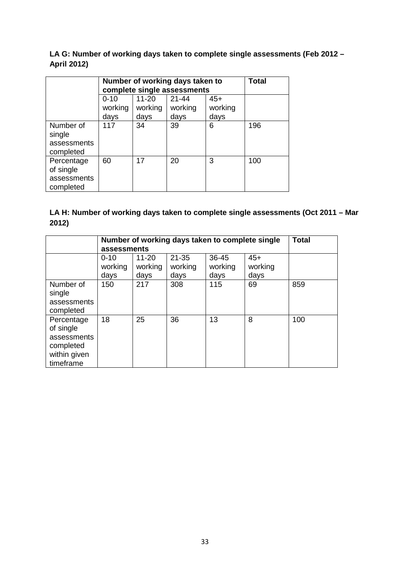### **LA G: Number of working days taken to complete single assessments (Feb 2012 – April 2012)**

|                                                     | Number of working days taken to<br>complete single assessments | Total                        |                              |                          |     |
|-----------------------------------------------------|----------------------------------------------------------------|------------------------------|------------------------------|--------------------------|-----|
|                                                     | $0 - 10$<br>working<br>days                                    | $11 - 20$<br>working<br>days | $21 - 44$<br>working<br>days | $45+$<br>working<br>days |     |
| Number of<br>single<br>assessments<br>completed     | 117                                                            | 34                           | 39                           | 6                        | 196 |
| Percentage<br>of single<br>assessments<br>completed | 60                                                             | 17                           | 20                           | 3                        | 100 |

### **LA H: Number of working days taken to complete single assessments (Oct 2011 – Mar 2012)**

|                                                                                  | Number of working days taken to complete single | <b>Total</b>                 |                              |                          |                          |     |
|----------------------------------------------------------------------------------|-------------------------------------------------|------------------------------|------------------------------|--------------------------|--------------------------|-----|
|                                                                                  | assessments                                     |                              |                              |                          |                          |     |
|                                                                                  | $0 - 10$<br>working<br>days                     | $11 - 20$<br>working<br>days | $21 - 35$<br>working<br>days | 36-45<br>working<br>days | $45+$<br>working<br>days |     |
| Number of<br>single<br>assessments<br>completed                                  | 150                                             | 217                          | 308                          | 115                      | 69                       | 859 |
| Percentage<br>of single<br>assessments<br>completed<br>within given<br>timeframe | 18                                              | 25                           | 36                           | 13                       | 8                        | 100 |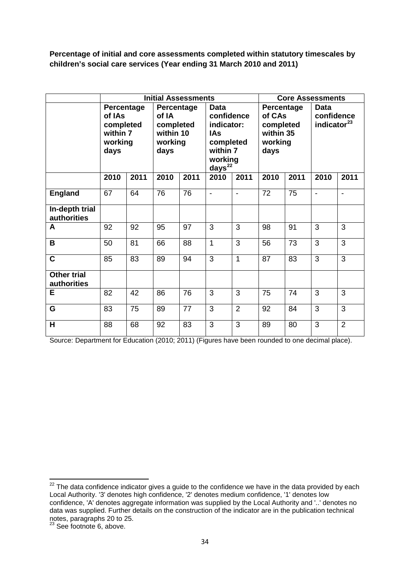**Percentage of initial and core assessments completed within statutory timescales by children's social care services (Year ending 31 March 2010 and 2011)**

|                                   | <b>Initial Assessments</b>                                       |      |                                                                  |      |                                                                                                   |                |                                                                   | <b>Core Assessments</b> |                                               |                |  |
|-----------------------------------|------------------------------------------------------------------|------|------------------------------------------------------------------|------|---------------------------------------------------------------------------------------------------|----------------|-------------------------------------------------------------------|-------------------------|-----------------------------------------------|----------------|--|
|                                   | Percentage<br>of IAs<br>completed<br>within 7<br>working<br>days |      | Percentage<br>of IA<br>completed<br>within 10<br>working<br>days |      | Data<br>confidence<br>indicator:<br>IAs<br>completed<br>within 7<br>working<br>days <sup>22</sup> |                | Percentage<br>of CAs<br>completed<br>within 35<br>working<br>days |                         | Data<br>confidence<br>indicator <sup>23</sup> |                |  |
|                                   | 2010                                                             | 2011 | 2010                                                             | 2011 | 2010                                                                                              | 2011           | 2010                                                              | 2011                    | 2010                                          | 2011           |  |
| <b>England</b>                    | 67                                                               | 64   | 76                                                               | 76   | $\blacksquare$                                                                                    | $\blacksquare$ | 72                                                                | 75                      | $\blacksquare$                                | $\blacksquare$ |  |
| In-depth trial<br>authorities     |                                                                  |      |                                                                  |      |                                                                                                   |                |                                                                   |                         |                                               |                |  |
| A                                 | 92                                                               | 92   | 95                                                               | 97   | 3                                                                                                 | 3              | 98                                                                | 91                      | 3                                             | 3              |  |
| B                                 | 50                                                               | 81   | 66                                                               | 88   | 1                                                                                                 | 3              | 56                                                                | 73                      | 3                                             | 3              |  |
| $\mathbf C$                       | 85                                                               | 83   | 89                                                               | 94   | 3                                                                                                 | 1              | 87                                                                | 83                      | 3                                             | 3              |  |
| <b>Other trial</b><br>authorities |                                                                  |      |                                                                  |      |                                                                                                   |                |                                                                   |                         |                                               |                |  |
| Е                                 | 82                                                               | 42   | 86                                                               | 76   | 3                                                                                                 | 3              | 75                                                                | 74                      | 3                                             | 3              |  |
| G                                 | 83                                                               | 75   | 89                                                               | 77   | 3                                                                                                 | $\overline{2}$ | 92                                                                | 84                      | 3                                             | 3              |  |
| H                                 | 88                                                               | 68   | 92                                                               | 83   | 3                                                                                                 | 3              | 89                                                                | 80                      | 3                                             | $\overline{2}$ |  |

Source: Department for Education (2010; 2011) (Figures have been rounded to one decimal place).

<span id="page-43-0"></span> $22$  The data confidence indicator gives a guide to the confidence we have in the data provided by each Local Authority. '3' denotes high confidence, '2' denotes medium confidence, '1' denotes low confidence, 'A' denotes aggregate information was supplied by the Local Authority and '..' denotes no data was supplied. Further details on the construction of the indicator are in the publication technical notes, paragraphs 20 to 25.<br><sup>23</sup> See footnote 6, above.

<span id="page-43-1"></span>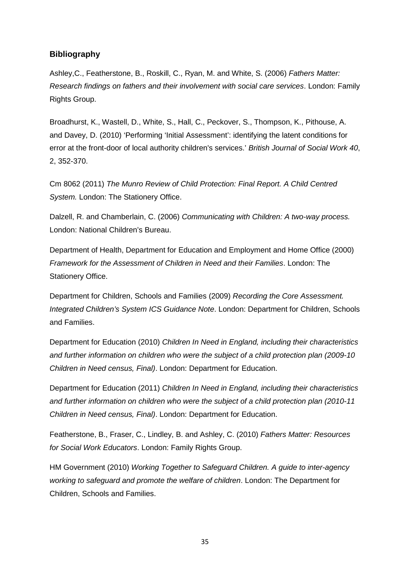### <span id="page-44-0"></span>**Bibliography**

Ashley,C., Featherstone, B., Roskill, C., Ryan, M. and White, S. (2006) *Fathers Matter: Research findings on fathers and their involvement with social care services*. London: Family Rights Group.

Broadhurst, K., Wastell, D., White, S., Hall, C., Peckover, S., Thompson, K., Pithouse, A. and Davey, D. (2010) 'Performing 'Initial Assessment': identifying the latent conditions for error at the front-door of local authority children's services.' *British Journal of Social Work 40*, 2, 352-370.

Cm 8062 (2011) *The Munro Review of Child Protection: Final Report. A Child Centred System.* London: The Stationery Office.

Dalzell, R. and Chamberlain, C. (2006) *Communicating with Children: A two-way process.* London: National Children's Bureau.

Department of Health, Department for Education and Employment and Home Office (2000) *Framework for the Assessment of Children in Need and their Families*. London: The Stationery Office.

Department for Children, Schools and Families (2009) *Recording the Core Assessment. Integrated Children's System ICS Guidance Note*. London: Department for Children, Schools and Families.

Department for Education (2010) *Children In Need in England, including their characteristics and further information on children who were the subject of a child protection plan (2009-10 Children in Need census, Final)*. London: Department for Education.

Department for Education (2011) *Children In Need in England, including their characteristics and further information on children who were the subject of a child protection plan (2010-11 Children in Need census, Final)*. London: Department for Education.

Featherstone, B., Fraser, C., Lindley, B. and Ashley, C. (2010) *Fathers Matter: Resources for Social Work Educators*. London: Family Rights Group.

HM Government (2010) *Working Together to Safeguard Children. A guide to inter-agency working to safeguard and promote the welfare of children*. London: The Department for Children, Schools and Families.